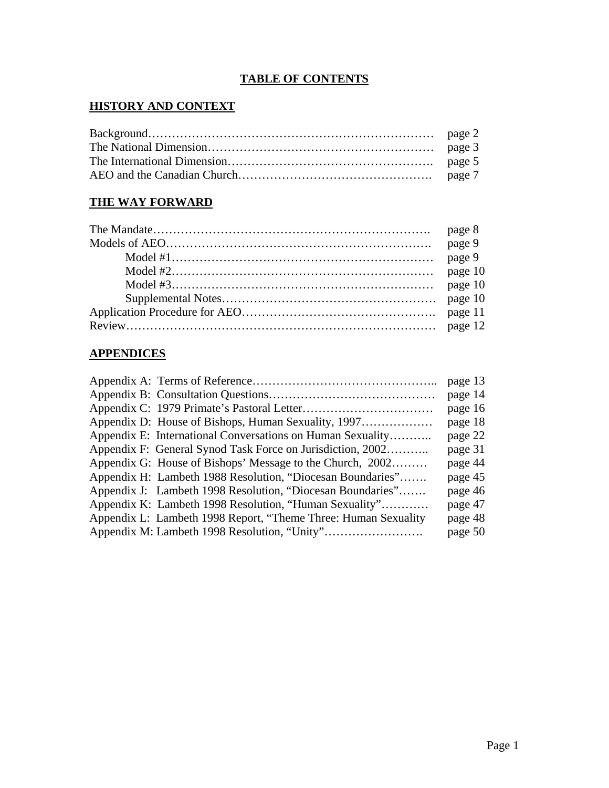# **TABLE OF CONTENTS**

# **HISTORY AND CONTEXT**

# **THE WAY FORWARD**

# **APPENDICES**

|                                                                | page 13 |
|----------------------------------------------------------------|---------|
|                                                                | page 14 |
|                                                                | page 16 |
|                                                                | page 18 |
| Appendix E: International Conversations on Human Sexuality     | page 22 |
| Appendix F: General Synod Task Force on Jurisdiction, 2002     | page 31 |
| Appendix G: House of Bishops' Message to the Church, 2002      | page 44 |
| Appendix H: Lambeth 1988 Resolution, "Diocesan Boundaries"     | page 45 |
| Appendix J: Lambeth 1998 Resolution, "Diocesan Boundaries"     | page 46 |
| Appendix K: Lambeth 1998 Resolution, "Human Sexuality"         | page 47 |
| Appendix L: Lambeth 1998 Report, "Theme Three: Human Sexuality | page 48 |
|                                                                | page 50 |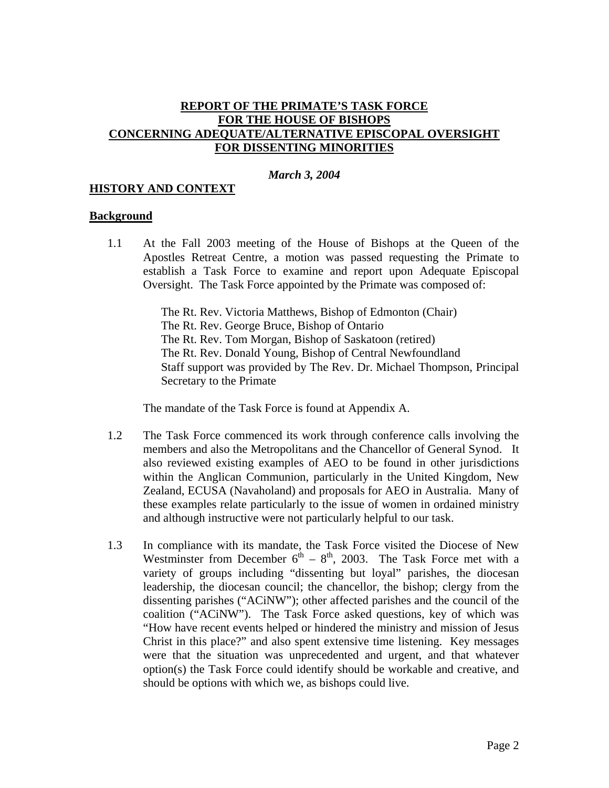# **REPORT OF THE PRIMATE'S TASK FORCE FOR THE HOUSE OF BISHOPS CONCERNING ADEQUATE/ALTERNATIVE EPISCOPAL OVERSIGHT FOR DISSENTING MINORITIES**

#### *March 3, 2004*

#### **HISTORY AND CONTEXT**

#### **Background**

1.1 At the Fall 2003 meeting of the House of Bishops at the Queen of the Apostles Retreat Centre, a motion was passed requesting the Primate to establish a Task Force to examine and report upon Adequate Episcopal Oversight. The Task Force appointed by the Primate was composed of:

> The Rt. Rev. Victoria Matthews, Bishop of Edmonton (Chair) The Rt. Rev. George Bruce, Bishop of Ontario The Rt. Rev. Tom Morgan, Bishop of Saskatoon (retired) The Rt. Rev. Donald Young, Bishop of Central Newfoundland Staff support was provided by The Rev. Dr. Michael Thompson, Principal Secretary to the Primate

The mandate of the Task Force is found at Appendix A.

- 1.2 The Task Force commenced its work through conference calls involving the members and also the Metropolitans and the Chancellor of General Synod. It also reviewed existing examples of AEO to be found in other jurisdictions within the Anglican Communion, particularly in the United Kingdom, New Zealand, ECUSA (Navaholand) and proposals for AEO in Australia. Many of these examples relate particularly to the issue of women in ordained ministry and although instructive were not particularly helpful to our task.
- 1.3 In compliance with its mandate, the Task Force visited the Diocese of New Westminster from December  $6<sup>th</sup> - 8<sup>th</sup>$ , 2003. The Task Force met with a variety of groups including "dissenting but loyal" parishes, the diocesan leadership, the diocesan council; the chancellor, the bishop; clergy from the dissenting parishes ("ACiNW"); other affected parishes and the council of the coalition ("ACiNW"). The Task Force asked questions, key of which was "How have recent events helped or hindered the ministry and mission of Jesus Christ in this place?" and also spent extensive time listening. Key messages were that the situation was unprecedented and urgent, and that whatever option(s) the Task Force could identify should be workable and creative, and should be options with which we, as bishops could live.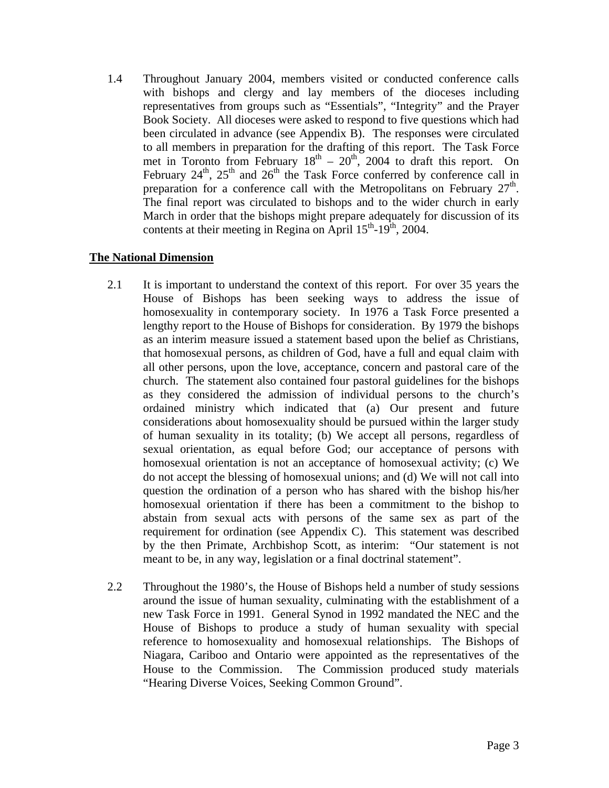1.4 Throughout January 2004, members visited or conducted conference calls with bishops and clergy and lay members of the dioceses including representatives from groups such as "Essentials", "Integrity" and the Prayer Book Society. All dioceses were asked to respond to five questions which had been circulated in advance (see Appendix B). The responses were circulated to all members in preparation for the drafting of this report. The Task Force met in Toronto from February  $18<sup>th</sup> - 20<sup>th</sup>$ , 2004 to draft this report. On February  $24<sup>th</sup>$ ,  $25<sup>th</sup>$  and  $26<sup>th</sup>$  the Task Force conferred by conference call in preparation for a conference call with the Metropolitans on February  $27<sup>th</sup>$ . The final report was circulated to bishops and to the wider church in early March in order that the bishops might prepare adequately for discussion of its contents at their meeting in Regina on April  $15<sup>th</sup>$ -19<sup>th</sup>, 2004.

# **The National Dimension**

- 2.1 It is important to understand the context of this report. For over 35 years the House of Bishops has been seeking ways to address the issue of homosexuality in contemporary society. In 1976 a Task Force presented a lengthy report to the House of Bishops for consideration. By 1979 the bishops as an interim measure issued a statement based upon the belief as Christians, that homosexual persons, as children of God, have a full and equal claim with all other persons, upon the love, acceptance, concern and pastoral care of the church. The statement also contained four pastoral guidelines for the bishops as they considered the admission of individual persons to the church's ordained ministry which indicated that (a) Our present and future considerations about homosexuality should be pursued within the larger study of human sexuality in its totality; (b) We accept all persons, regardless of sexual orientation, as equal before God; our acceptance of persons with homosexual orientation is not an acceptance of homosexual activity; (c) We do not accept the blessing of homosexual unions; and (d) We will not call into question the ordination of a person who has shared with the bishop his/her homosexual orientation if there has been a commitment to the bishop to abstain from sexual acts with persons of the same sex as part of the requirement for ordination (see Appendix C). This statement was described by the then Primate, Archbishop Scott, as interim: "Our statement is not meant to be, in any way, legislation or a final doctrinal statement".
- 2.2 Throughout the 1980's, the House of Bishops held a number of study sessions around the issue of human sexuality, culminating with the establishment of a new Task Force in 1991. General Synod in 1992 mandated the NEC and the House of Bishops to produce a study of human sexuality with special reference to homosexuality and homosexual relationships. The Bishops of Niagara, Cariboo and Ontario were appointed as the representatives of the House to the Commission. The Commission produced study materials "Hearing Diverse Voices, Seeking Common Ground".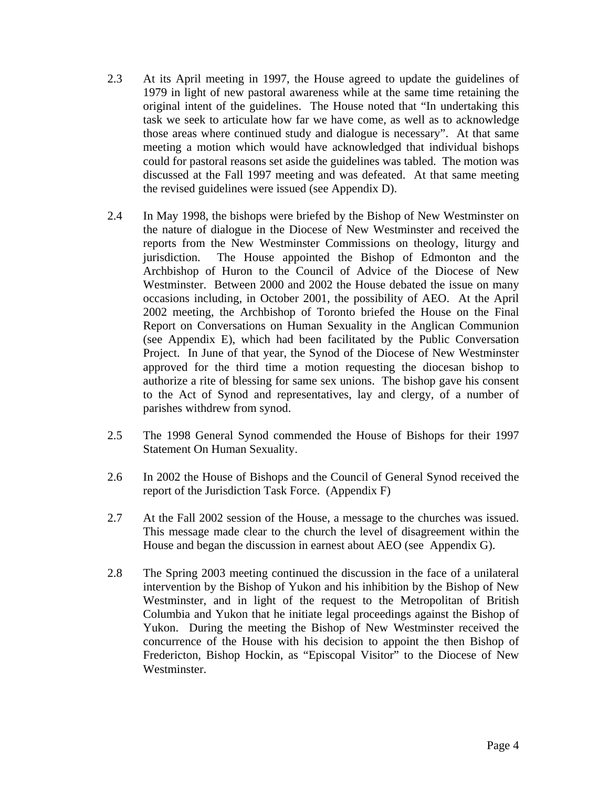- 2.3 At its April meeting in 1997, the House agreed to update the guidelines of 1979 in light of new pastoral awareness while at the same time retaining the original intent of the guidelines. The House noted that "In undertaking this task we seek to articulate how far we have come, as well as to acknowledge those areas where continued study and dialogue is necessary". At that same meeting a motion which would have acknowledged that individual bishops could for pastoral reasons set aside the guidelines was tabled. The motion was discussed at the Fall 1997 meeting and was defeated. At that same meeting the revised guidelines were issued (see Appendix D).
- 2.4 In May 1998, the bishops were briefed by the Bishop of New Westminster on the nature of dialogue in the Diocese of New Westminster and received the reports from the New Westminster Commissions on theology, liturgy and jurisdiction. The House appointed the Bishop of Edmonton and the Archbishop of Huron to the Council of Advice of the Diocese of New Westminster. Between 2000 and 2002 the House debated the issue on many occasions including, in October 2001, the possibility of AEO. At the April 2002 meeting, the Archbishop of Toronto briefed the House on the Final Report on Conversations on Human Sexuality in the Anglican Communion (see Appendix E), which had been facilitated by the Public Conversation Project. In June of that year, the Synod of the Diocese of New Westminster approved for the third time a motion requesting the diocesan bishop to authorize a rite of blessing for same sex unions. The bishop gave his consent to the Act of Synod and representatives, lay and clergy, of a number of parishes withdrew from synod.
- 2.5 The 1998 General Synod commended the House of Bishops for their 1997 Statement On Human Sexuality.
- 2.6 In 2002 the House of Bishops and the Council of General Synod received the report of the Jurisdiction Task Force. (Appendix F)
- 2.7 At the Fall 2002 session of the House, a message to the churches was issued. This message made clear to the church the level of disagreement within the House and began the discussion in earnest about AEO (see Appendix G).
- 2.8 The Spring 2003 meeting continued the discussion in the face of a unilateral intervention by the Bishop of Yukon and his inhibition by the Bishop of New Westminster, and in light of the request to the Metropolitan of British Columbia and Yukon that he initiate legal proceedings against the Bishop of Yukon. During the meeting the Bishop of New Westminster received the concurrence of the House with his decision to appoint the then Bishop of Fredericton, Bishop Hockin, as "Episcopal Visitor" to the Diocese of New Westminster.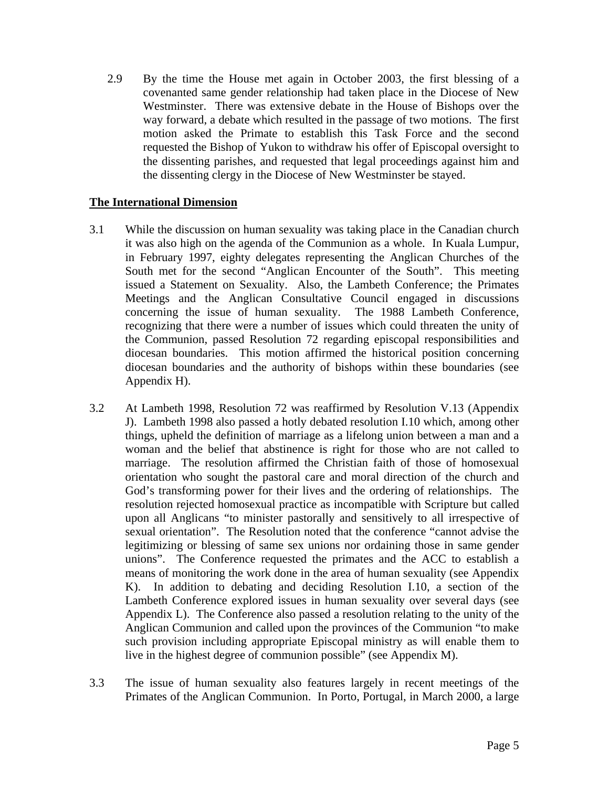2.9 By the time the House met again in October 2003, the first blessing of a covenanted same gender relationship had taken place in the Diocese of New Westminster. There was extensive debate in the House of Bishops over the way forward, a debate which resulted in the passage of two motions. The first motion asked the Primate to establish this Task Force and the second requested the Bishop of Yukon to withdraw his offer of Episcopal oversight to the dissenting parishes, and requested that legal proceedings against him and the dissenting clergy in the Diocese of New Westminster be stayed.

# **The International Dimension**

- 3.1 While the discussion on human sexuality was taking place in the Canadian church it was also high on the agenda of the Communion as a whole. In Kuala Lumpur, in February 1997, eighty delegates representing the Anglican Churches of the South met for the second "Anglican Encounter of the South". This meeting issued a Statement on Sexuality. Also, the Lambeth Conference; the Primates Meetings and the Anglican Consultative Council engaged in discussions concerning the issue of human sexuality. The 1988 Lambeth Conference, recognizing that there were a number of issues which could threaten the unity of the Communion, passed Resolution 72 regarding episcopal responsibilities and diocesan boundaries. This motion affirmed the historical position concerning diocesan boundaries and the authority of bishops within these boundaries (see Appendix H).
- 3.2 At Lambeth 1998, Resolution 72 was reaffirmed by Resolution V.13 (Appendix J). Lambeth 1998 also passed a hotly debated resolution I.10 which, among other things, upheld the definition of marriage as a lifelong union between a man and a woman and the belief that abstinence is right for those who are not called to marriage. The resolution affirmed the Christian faith of those of homosexual orientation who sought the pastoral care and moral direction of the church and God's transforming power for their lives and the ordering of relationships. The resolution rejected homosexual practice as incompatible with Scripture but called upon all Anglicans "to minister pastorally and sensitively to all irrespective of sexual orientation". The Resolution noted that the conference "cannot advise the legitimizing or blessing of same sex unions nor ordaining those in same gender unions". The Conference requested the primates and the ACC to establish a means of monitoring the work done in the area of human sexuality (see Appendix K). In addition to debating and deciding Resolution I.10, a section of the Lambeth Conference explored issues in human sexuality over several days (see Appendix L). The Conference also passed a resolution relating to the unity of the Anglican Communion and called upon the provinces of the Communion "to make such provision including appropriate Episcopal ministry as will enable them to live in the highest degree of communion possible" (see Appendix M).
- 3.3 The issue of human sexuality also features largely in recent meetings of the Primates of the Anglican Communion. In Porto, Portugal, in March 2000, a large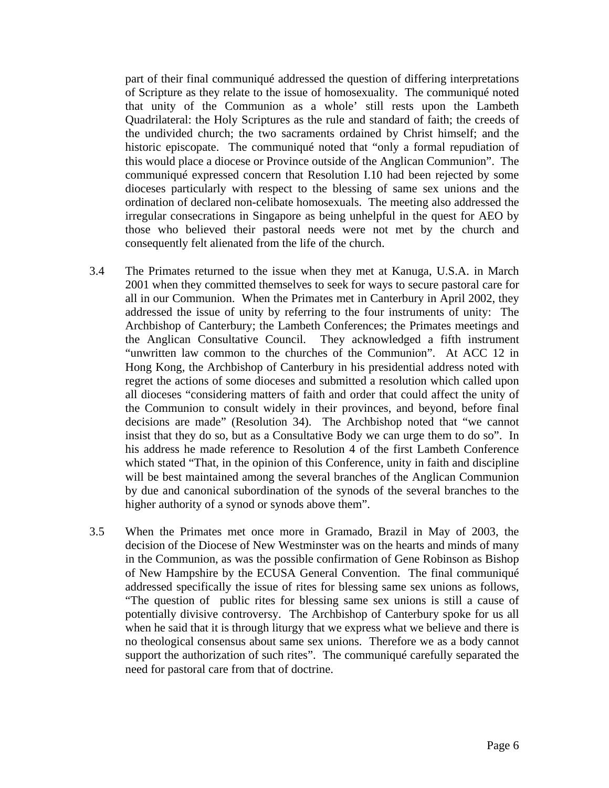part of their final communiqué addressed the question of differing interpretations of Scripture as they relate to the issue of homosexuality. The communiqué noted that unity of the Communion as a whole' still rests upon the Lambeth Quadrilateral: the Holy Scriptures as the rule and standard of faith; the creeds of the undivided church; the two sacraments ordained by Christ himself; and the historic episcopate. The communiqué noted that "only a formal repudiation of this would place a diocese or Province outside of the Anglican Communion". The communiqué expressed concern that Resolution I.10 had been rejected by some dioceses particularly with respect to the blessing of same sex unions and the ordination of declared non-celibate homosexuals. The meeting also addressed the irregular consecrations in Singapore as being unhelpful in the quest for AEO by those who believed their pastoral needs were not met by the church and consequently felt alienated from the life of the church.

- 3.4 The Primates returned to the issue when they met at Kanuga, U.S.A. in March 2001 when they committed themselves to seek for ways to secure pastoral care for all in our Communion. When the Primates met in Canterbury in April 2002, they addressed the issue of unity by referring to the four instruments of unity: The Archbishop of Canterbury; the Lambeth Conferences; the Primates meetings and the Anglican Consultative Council. They acknowledged a fifth instrument "unwritten law common to the churches of the Communion". At ACC 12 in Hong Kong, the Archbishop of Canterbury in his presidential address noted with regret the actions of some dioceses and submitted a resolution which called upon all dioceses "considering matters of faith and order that could affect the unity of the Communion to consult widely in their provinces, and beyond, before final decisions are made" (Resolution 34). The Archbishop noted that "we cannot insist that they do so, but as a Consultative Body we can urge them to do so". In his address he made reference to Resolution 4 of the first Lambeth Conference which stated "That, in the opinion of this Conference, unity in faith and discipline will be best maintained among the several branches of the Anglican Communion by due and canonical subordination of the synods of the several branches to the higher authority of a synod or synods above them".
- 3.5 When the Primates met once more in Gramado, Brazil in May of 2003, the decision of the Diocese of New Westminster was on the hearts and minds of many in the Communion, as was the possible confirmation of Gene Robinson as Bishop of New Hampshire by the ECUSA General Convention. The final communiqué addressed specifically the issue of rites for blessing same sex unions as follows, "The question of public rites for blessing same sex unions is still a cause of potentially divisive controversy. The Archbishop of Canterbury spoke for us all when he said that it is through liturgy that we express what we believe and there is no theological consensus about same sex unions. Therefore we as a body cannot support the authorization of such rites". The communiqué carefully separated the need for pastoral care from that of doctrine.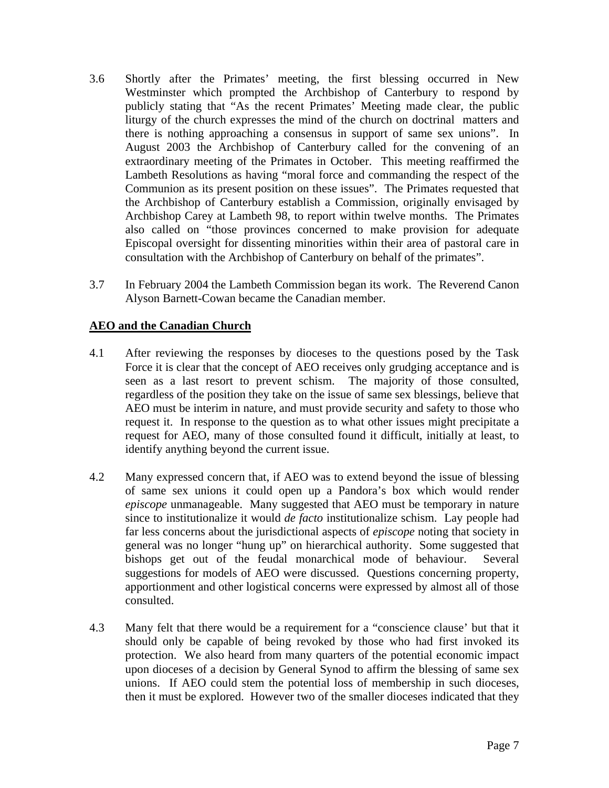- 3.6 Shortly after the Primates' meeting, the first blessing occurred in New Westminster which prompted the Archbishop of Canterbury to respond by publicly stating that "As the recent Primates' Meeting made clear, the public liturgy of the church expresses the mind of the church on doctrinal matters and there is nothing approaching a consensus in support of same sex unions". In August 2003 the Archbishop of Canterbury called for the convening of an extraordinary meeting of the Primates in October. This meeting reaffirmed the Lambeth Resolutions as having "moral force and commanding the respect of the Communion as its present position on these issues". The Primates requested that the Archbishop of Canterbury establish a Commission, originally envisaged by Archbishop Carey at Lambeth 98, to report within twelve months. The Primates also called on "those provinces concerned to make provision for adequate Episcopal oversight for dissenting minorities within their area of pastoral care in consultation with the Archbishop of Canterbury on behalf of the primates".
- 3.7 In February 2004 the Lambeth Commission began its work. The Reverend Canon Alyson Barnett-Cowan became the Canadian member.

# **AEO and the Canadian Church**

- 4.1 After reviewing the responses by dioceses to the questions posed by the Task Force it is clear that the concept of AEO receives only grudging acceptance and is seen as a last resort to prevent schism. The majority of those consulted, regardless of the position they take on the issue of same sex blessings, believe that AEO must be interim in nature, and must provide security and safety to those who request it. In response to the question as to what other issues might precipitate a request for AEO, many of those consulted found it difficult, initially at least, to identify anything beyond the current issue.
- 4.2 Many expressed concern that, if AEO was to extend beyond the issue of blessing of same sex unions it could open up a Pandora's box which would render *episcope* unmanageable. Many suggested that AEO must be temporary in nature since to institutionalize it would *de facto* institutionalize schism. Lay people had far less concerns about the jurisdictional aspects of *episcope* noting that society in general was no longer "hung up" on hierarchical authority. Some suggested that bishops get out of the feudal monarchical mode of behaviour. Several suggestions for models of AEO were discussed. Questions concerning property, apportionment and other logistical concerns were expressed by almost all of those consulted.
- 4.3 Many felt that there would be a requirement for a "conscience clause' but that it should only be capable of being revoked by those who had first invoked its protection. We also heard from many quarters of the potential economic impact upon dioceses of a decision by General Synod to affirm the blessing of same sex unions. If AEO could stem the potential loss of membership in such dioceses, then it must be explored. However two of the smaller dioceses indicated that they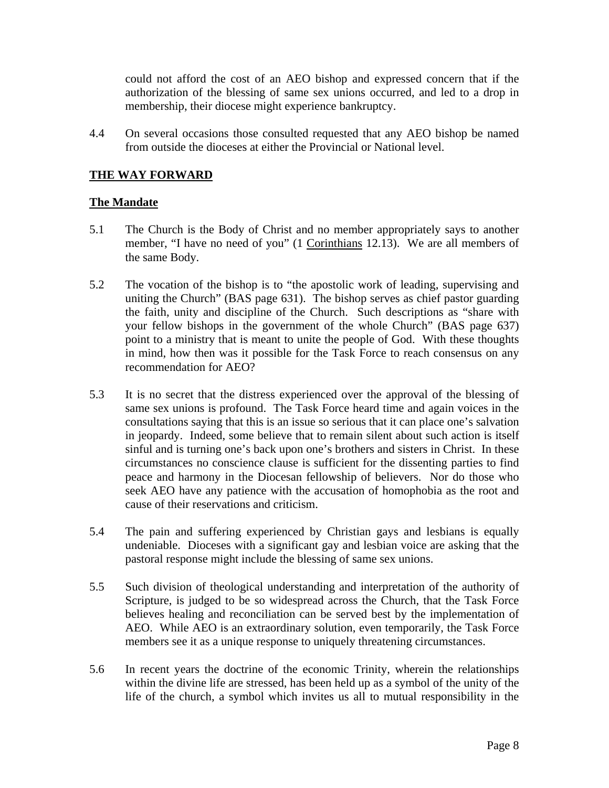could not afford the cost of an AEO bishop and expressed concern that if the authorization of the blessing of same sex unions occurred, and led to a drop in membership, their diocese might experience bankruptcy.

4.4 On several occasions those consulted requested that any AEO bishop be named from outside the dioceses at either the Provincial or National level.

# **THE WAY FORWARD**

# **The Mandate**

- 5.1 The Church is the Body of Christ and no member appropriately says to another member, "I have no need of you" (1 Corinthians 12.13). We are all members of the same Body.
- 5.2 The vocation of the bishop is to "the apostolic work of leading, supervising and uniting the Church" (BAS page 631). The bishop serves as chief pastor guarding the faith, unity and discipline of the Church. Such descriptions as "share with your fellow bishops in the government of the whole Church" (BAS page 637) point to a ministry that is meant to unite the people of God. With these thoughts in mind, how then was it possible for the Task Force to reach consensus on any recommendation for AEO?
- 5.3 It is no secret that the distress experienced over the approval of the blessing of same sex unions is profound. The Task Force heard time and again voices in the consultations saying that this is an issue so serious that it can place one's salvation in jeopardy. Indeed, some believe that to remain silent about such action is itself sinful and is turning one's back upon one's brothers and sisters in Christ. In these circumstances no conscience clause is sufficient for the dissenting parties to find peace and harmony in the Diocesan fellowship of believers. Nor do those who seek AEO have any patience with the accusation of homophobia as the root and cause of their reservations and criticism.
- 5.4 The pain and suffering experienced by Christian gays and lesbians is equally undeniable. Dioceses with a significant gay and lesbian voice are asking that the pastoral response might include the blessing of same sex unions.
- 5.5 Such division of theological understanding and interpretation of the authority of Scripture, is judged to be so widespread across the Church, that the Task Force believes healing and reconciliation can be served best by the implementation of AEO. While AEO is an extraordinary solution, even temporarily, the Task Force members see it as a unique response to uniquely threatening circumstances.
- 5.6 In recent years the doctrine of the economic Trinity, wherein the relationships within the divine life are stressed, has been held up as a symbol of the unity of the life of the church, a symbol which invites us all to mutual responsibility in the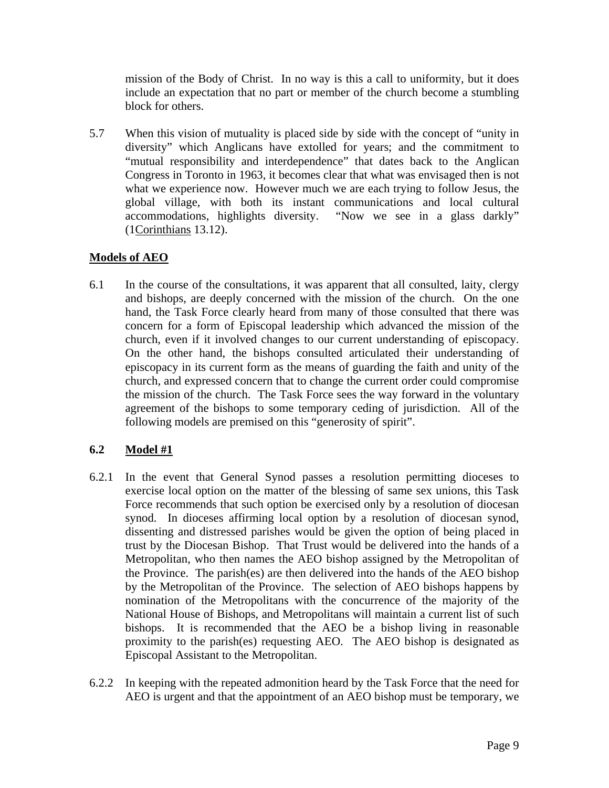mission of the Body of Christ. In no way is this a call to uniformity, but it does include an expectation that no part or member of the church become a stumbling block for others.

5.7 When this vision of mutuality is placed side by side with the concept of "unity in diversity" which Anglicans have extolled for years; and the commitment to "mutual responsibility and interdependence" that dates back to the Anglican Congress in Toronto in 1963, it becomes clear that what was envisaged then is not what we experience now. However much we are each trying to follow Jesus, the global village, with both its instant communications and local cultural accommodations, highlights diversity. "Now we see in a glass darkly" (1Corinthians 13.12).

# **Models of AEO**

6.1 In the course of the consultations, it was apparent that all consulted, laity, clergy and bishops, are deeply concerned with the mission of the church. On the one hand, the Task Force clearly heard from many of those consulted that there was concern for a form of Episcopal leadership which advanced the mission of the church, even if it involved changes to our current understanding of episcopacy. On the other hand, the bishops consulted articulated their understanding of episcopacy in its current form as the means of guarding the faith and unity of the church, and expressed concern that to change the current order could compromise the mission of the church. The Task Force sees the way forward in the voluntary agreement of the bishops to some temporary ceding of jurisdiction. All of the following models are premised on this "generosity of spirit".

# **6.2 Model #1**

- 6.2.1 In the event that General Synod passes a resolution permitting dioceses to exercise local option on the matter of the blessing of same sex unions, this Task Force recommends that such option be exercised only by a resolution of diocesan synod. In dioceses affirming local option by a resolution of diocesan synod, dissenting and distressed parishes would be given the option of being placed in trust by the Diocesan Bishop. That Trust would be delivered into the hands of a Metropolitan, who then names the AEO bishop assigned by the Metropolitan of the Province. The parish(es) are then delivered into the hands of the AEO bishop by the Metropolitan of the Province. The selection of AEO bishops happens by nomination of the Metropolitans with the concurrence of the majority of the National House of Bishops, and Metropolitans will maintain a current list of such bishops. It is recommended that the AEO be a bishop living in reasonable proximity to the parish(es) requesting AEO. The AEO bishop is designated as Episcopal Assistant to the Metropolitan.
- 6.2.2 In keeping with the repeated admonition heard by the Task Force that the need for AEO is urgent and that the appointment of an AEO bishop must be temporary, we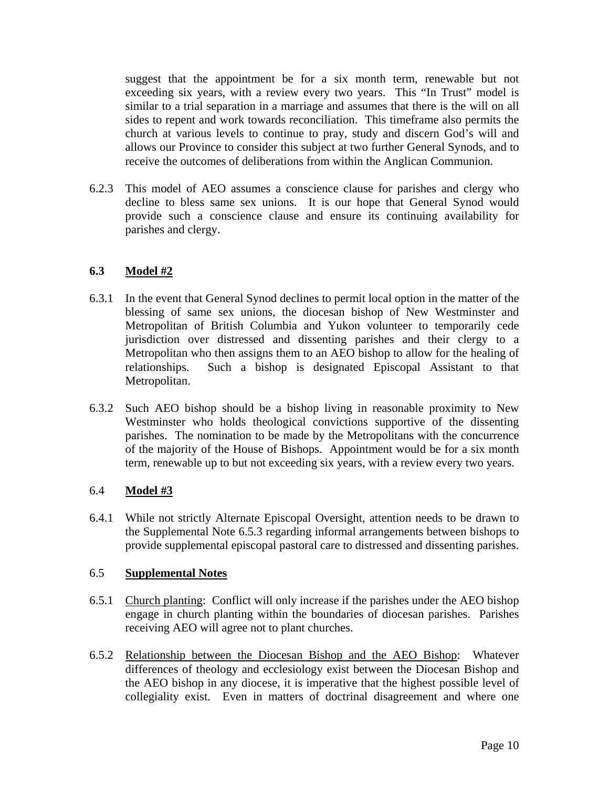suggest that the appointment be for a six month term, renewable but not exceeding six years, with a review every two years. This "In Trust" model is similar to a trial separation in a marriage and assumes that there is the will on all sides to repent and work towards reconciliation. This timeframe also permits the church at various levels to continue to pray, study and discern God's will and allows our Province to consider this subject at two further General Synods, and to receive the outcomes of deliberations from within the Anglican Communion.

6.2.3 This model of AEO assumes a conscience clause for parishes and clergy who decline to bless same sex unions. It is our hope that General Synod would provide such a conscience clause and ensure its continuing availability for parishes and clergy.

# **6.3 Model #2**

- 6.3.1 In the event that General Synod declines to permit local option in the matter of the blessing of same sex unions, the diocesan bishop of New Westminster and Metropolitan of British Columbia and Yukon volunteer to temporarily cede jurisdiction over distressed and dissenting parishes and their clergy to a Metropolitan who then assigns them to an AEO bishop to allow for the healing of relationships. Such a bishop is designated Episcopal Assistant to that Metropolitan.
- 6.3.2 Such AEO bishop should be a bishop living in reasonable proximity to New Westminster who holds theological convictions supportive of the dissenting parishes. The nomination to be made by the Metropolitans with the concurrence of the majority of the House of Bishops. Appointment would be for a six month term, renewable up to but not exceeding six years, with a review every two years.

# 6.4 **Model #3**

6.4.1 While not strictly Alternate Episcopal Oversight, attention needs to be drawn to the Supplemental Note 6.5.3 regarding informal arrangements between bishops to provide supplemental episcopal pastoral care to distressed and dissenting parishes.

#### 6.5 **Supplemental Notes**

- 6.5.1 Church planting: Conflict will only increase if the parishes under the AEO bishop engage in church planting within the boundaries of diocesan parishes. Parishes receiving AEO will agree not to plant churches.
- 6.5.2 Relationship between the Diocesan Bishop and the AEO Bishop: Whatever differences of theology and ecclesiology exist between the Diocesan Bishop and the AEO bishop in any diocese, it is imperative that the highest possible level of collegiality exist. Even in matters of doctrinal disagreement and where one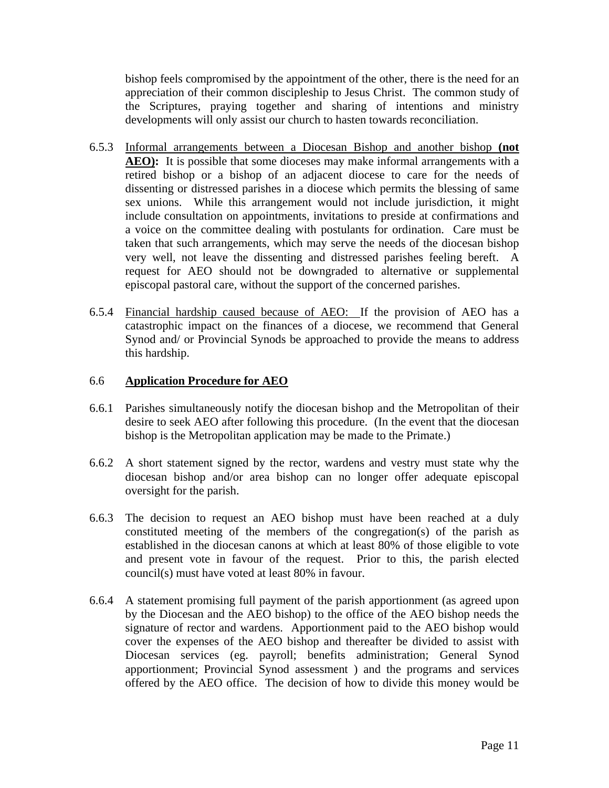bishop feels compromised by the appointment of the other, there is the need for an appreciation of their common discipleship to Jesus Christ. The common study of the Scriptures, praying together and sharing of intentions and ministry developments will only assist our church to hasten towards reconciliation.

- 6.5.3 Informal arrangements between a Diocesan Bishop and another bishop **(not**  AEO): It is possible that some dioceses may make informal arrangements with a retired bishop or a bishop of an adjacent diocese to care for the needs of dissenting or distressed parishes in a diocese which permits the blessing of same sex unions. While this arrangement would not include jurisdiction, it might include consultation on appointments, invitations to preside at confirmations and a voice on the committee dealing with postulants for ordination. Care must be taken that such arrangements, which may serve the needs of the diocesan bishop very well, not leave the dissenting and distressed parishes feeling bereft. A request for AEO should not be downgraded to alternative or supplemental episcopal pastoral care, without the support of the concerned parishes.
- 6.5.4 Financial hardship caused because of AEO: If the provision of AEO has a catastrophic impact on the finances of a diocese, we recommend that General Synod and/ or Provincial Synods be approached to provide the means to address this hardship.

#### 6.6 **Application Procedure for AEO**

- 6.6.1 Parishes simultaneously notify the diocesan bishop and the Metropolitan of their desire to seek AEO after following this procedure. (In the event that the diocesan bishop is the Metropolitan application may be made to the Primate.)
- 6.6.2 A short statement signed by the rector, wardens and vestry must state why the diocesan bishop and/or area bishop can no longer offer adequate episcopal oversight for the parish.
- 6.6.3 The decision to request an AEO bishop must have been reached at a duly constituted meeting of the members of the congregation(s) of the parish as established in the diocesan canons at which at least 80% of those eligible to vote and present vote in favour of the request. Prior to this, the parish elected council(s) must have voted at least 80% in favour.
- 6.6.4 A statement promising full payment of the parish apportionment (as agreed upon by the Diocesan and the AEO bishop) to the office of the AEO bishop needs the signature of rector and wardens. Apportionment paid to the AEO bishop would cover the expenses of the AEO bishop and thereafter be divided to assist with Diocesan services (eg. payroll; benefits administration; General Synod apportionment; Provincial Synod assessment ) and the programs and services offered by the AEO office. The decision of how to divide this money would be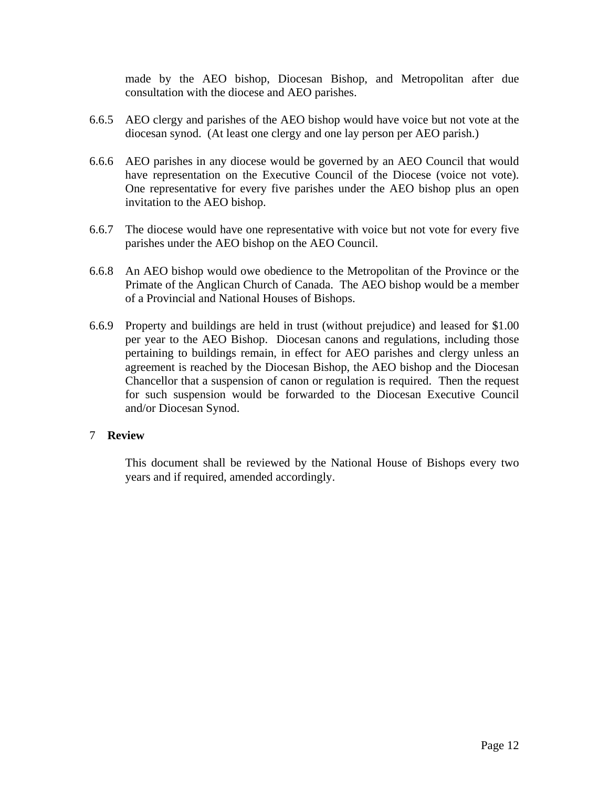made by the AEO bishop, Diocesan Bishop, and Metropolitan after due consultation with the diocese and AEO parishes.

- 6.6.5 AEO clergy and parishes of the AEO bishop would have voice but not vote at the diocesan synod. (At least one clergy and one lay person per AEO parish.)
- 6.6.6 AEO parishes in any diocese would be governed by an AEO Council that would have representation on the Executive Council of the Diocese (voice not vote). One representative for every five parishes under the AEO bishop plus an open invitation to the AEO bishop.
- 6.6.7 The diocese would have one representative with voice but not vote for every five parishes under the AEO bishop on the AEO Council.
- 6.6.8 An AEO bishop would owe obedience to the Metropolitan of the Province or the Primate of the Anglican Church of Canada. The AEO bishop would be a member of a Provincial and National Houses of Bishops.
- 6.6.9 Property and buildings are held in trust (without prejudice) and leased for \$1.00 per year to the AEO Bishop. Diocesan canons and regulations, including those pertaining to buildings remain, in effect for AEO parishes and clergy unless an agreement is reached by the Diocesan Bishop, the AEO bishop and the Diocesan Chancellor that a suspension of canon or regulation is required. Then the request for such suspension would be forwarded to the Diocesan Executive Council and/or Diocesan Synod.

#### 7 **Review**

This document shall be reviewed by the National House of Bishops every two years and if required, amended accordingly.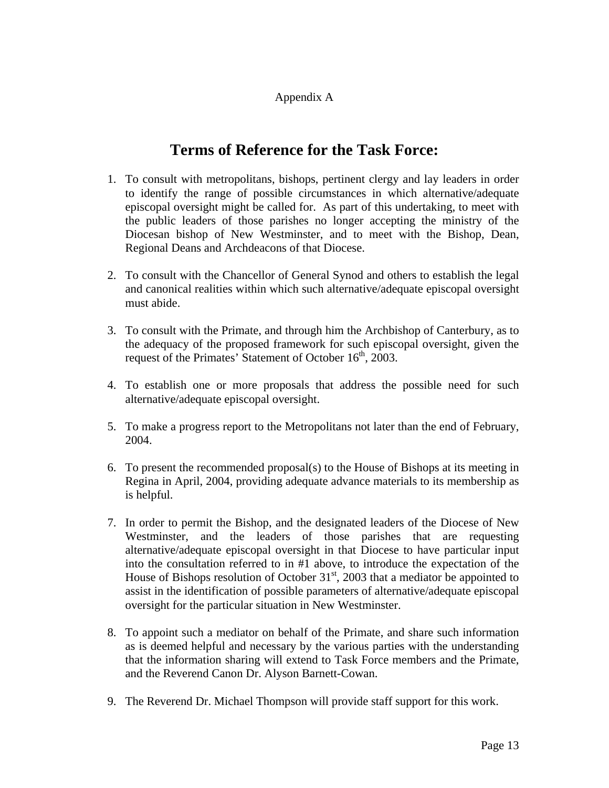## Appendix A

# **Terms of Reference for the Task Force:**

- 1. To consult with metropolitans, bishops, pertinent clergy and lay leaders in order to identify the range of possible circumstances in which alternative/adequate episcopal oversight might be called for. As part of this undertaking, to meet with the public leaders of those parishes no longer accepting the ministry of the Diocesan bishop of New Westminster, and to meet with the Bishop, Dean, Regional Deans and Archdeacons of that Diocese.
- 2. To consult with the Chancellor of General Synod and others to establish the legal and canonical realities within which such alternative/adequate episcopal oversight must abide.
- 3. To consult with the Primate, and through him the Archbishop of Canterbury, as to the adequacy of the proposed framework for such episcopal oversight, given the request of the Primates' Statement of October  $16<sup>th</sup>$ , 2003.
- 4. To establish one or more proposals that address the possible need for such alternative/adequate episcopal oversight.
- 5. To make a progress report to the Metropolitans not later than the end of February, 2004.
- 6. To present the recommended proposal(s) to the House of Bishops at its meeting in Regina in April, 2004, providing adequate advance materials to its membership as is helpful.
- 7. In order to permit the Bishop, and the designated leaders of the Diocese of New Westminster, and the leaders of those parishes that are requesting alternative/adequate episcopal oversight in that Diocese to have particular input into the consultation referred to in #1 above, to introduce the expectation of the House of Bishops resolution of October  $31<sup>st</sup>$ , 2003 that a mediator be appointed to assist in the identification of possible parameters of alternative/adequate episcopal oversight for the particular situation in New Westminster.
- 8. To appoint such a mediator on behalf of the Primate, and share such information as is deemed helpful and necessary by the various parties with the understanding that the information sharing will extend to Task Force members and the Primate, and the Reverend Canon Dr. Alyson Barnett-Cowan.
- 9. The Reverend Dr. Michael Thompson will provide staff support for this work.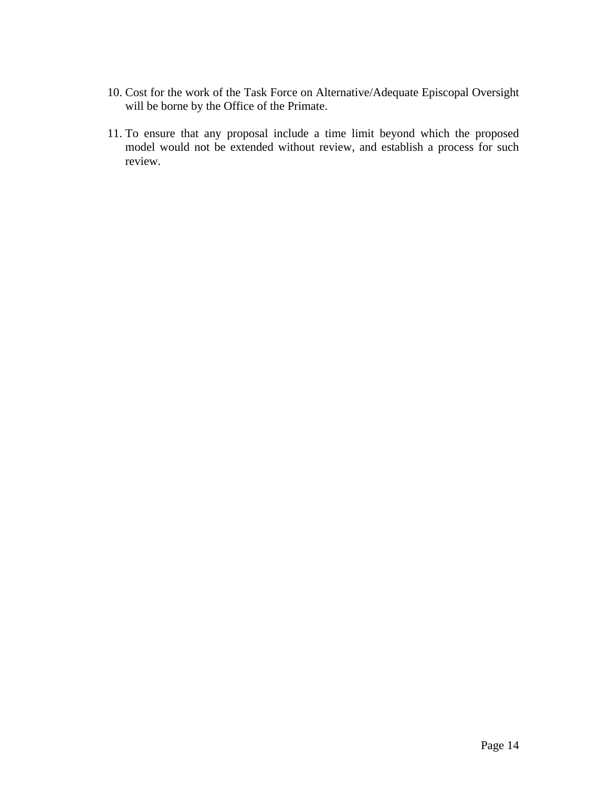- 10. Cost for the work of the Task Force on Alternative/Adequate Episcopal Oversight will be borne by the Office of the Primate.
- 11. To ensure that any proposal include a time limit beyond which the proposed model would not be extended without review, and establish a process for such review.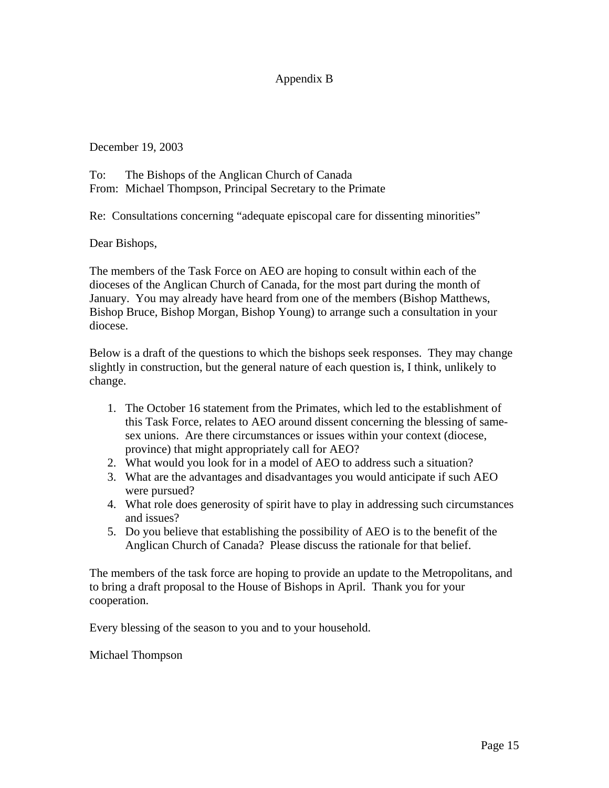# Appendix B

December 19, 2003

To: The Bishops of the Anglican Church of Canada From: Michael Thompson, Principal Secretary to the Primate

Re: Consultations concerning "adequate episcopal care for dissenting minorities"

Dear Bishops,

The members of the Task Force on AEO are hoping to consult within each of the dioceses of the Anglican Church of Canada, for the most part during the month of January. You may already have heard from one of the members (Bishop Matthews, Bishop Bruce, Bishop Morgan, Bishop Young) to arrange such a consultation in your diocese.

Below is a draft of the questions to which the bishops seek responses. They may change slightly in construction, but the general nature of each question is, I think, unlikely to change.

- 1. The October 16 statement from the Primates, which led to the establishment of this Task Force, relates to AEO around dissent concerning the blessing of samesex unions. Are there circumstances or issues within your context (diocese, province) that might appropriately call for AEO?
- 2. What would you look for in a model of AEO to address such a situation?
- 3. What are the advantages and disadvantages you would anticipate if such AEO were pursued?
- 4. What role does generosity of spirit have to play in addressing such circumstances and issues?
- 5. Do you believe that establishing the possibility of AEO is to the benefit of the Anglican Church of Canada? Please discuss the rationale for that belief.

The members of the task force are hoping to provide an update to the Metropolitans, and to bring a draft proposal to the House of Bishops in April. Thank you for your cooperation.

Every blessing of the season to you and to your household.

Michael Thompson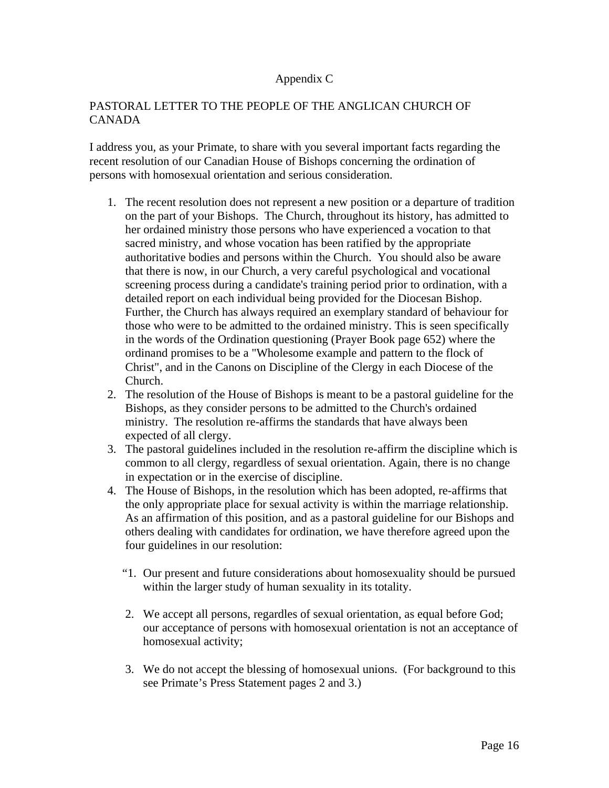# Appendix C

# PASTORAL LETTER TO THE PEOPLE OF THE ANGLICAN CHURCH OF CANADA

I address you, as your Primate, to share with you several important facts regarding the recent resolution of our Canadian House of Bishops concerning the ordination of persons with homosexual orientation and serious consideration.

- 1. The recent resolution does not represent a new position or a departure of tradition on the part of your Bishops. The Church, throughout its history, has admitted to her ordained ministry those persons who have experienced a vocation to that sacred ministry, and whose vocation has been ratified by the appropriate authoritative bodies and persons within the Church. You should also be aware that there is now, in our Church, a very careful psychological and vocational screening process during a candidate's training period prior to ordination, with a detailed report on each individual being provided for the Diocesan Bishop. Further, the Church has always required an exemplary standard of behaviour for those who were to be admitted to the ordained ministry. This is seen specifically in the words of the Ordination questioning (Prayer Book page 652) where the ordinand promises to be a "Wholesome example and pattern to the flock of Christ", and in the Canons on Discipline of the Clergy in each Diocese of the Church.
- 2. The resolution of the House of Bishops is meant to be a pastoral guideline for the Bishops, as they consider persons to be admitted to the Church's ordained ministry. The resolution re-affirms the standards that have always been expected of all clergy.
- 3. The pastoral guidelines included in the resolution re-affirm the discipline which is common to all clergy, regardless of sexual orientation. Again, there is no change in expectation or in the exercise of discipline.
- 4. The House of Bishops, in the resolution which has been adopted, re-affirms that the only appropriate place for sexual activity is within the marriage relationship. As an affirmation of this position, and as a pastoral guideline for our Bishops and others dealing with candidates for ordination, we have therefore agreed upon the four guidelines in our resolution:
	- "1. Our present and future considerations about homosexuality should be pursued within the larger study of human sexuality in its totality.
	- 2. We accept all persons, regardles of sexual orientation, as equal before God; our acceptance of persons with homosexual orientation is not an acceptance of homosexual activity;
	- 3. We do not accept the blessing of homosexual unions. (For background to this see Primate's Press Statement pages 2 and 3.)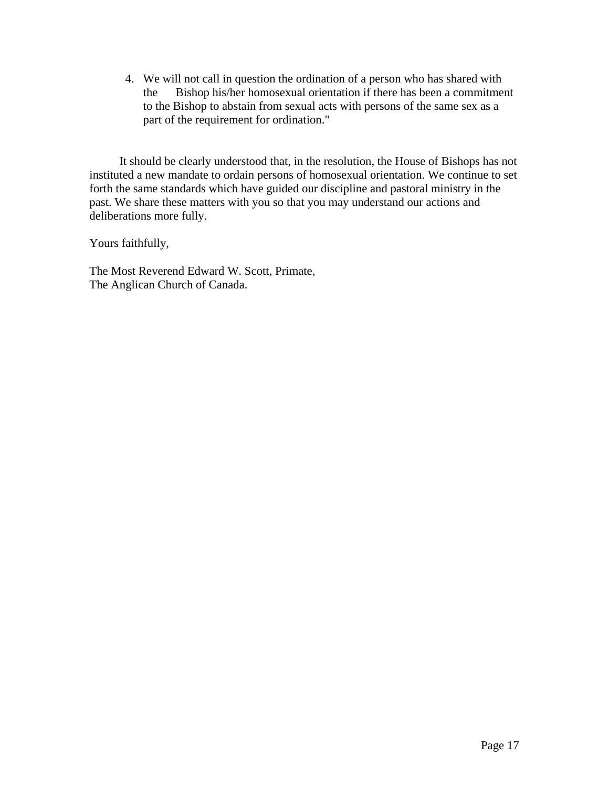4. We will not call in question the ordination of a person who has shared with the Bishop his/her homosexual orientation if there has been a commitment to the Bishop to abstain from sexual acts with persons of the same sex as a part of the requirement for ordination."

 It should be clearly understood that, in the resolution, the House of Bishops has not instituted a new mandate to ordain persons of homosexual orientation. We continue to set forth the same standards which have guided our discipline and pastoral ministry in the past. We share these matters with you so that you may understand our actions and deliberations more fully.

Yours faithfully,

The Most Reverend Edward W. Scott, Primate, The Anglican Church of Canada.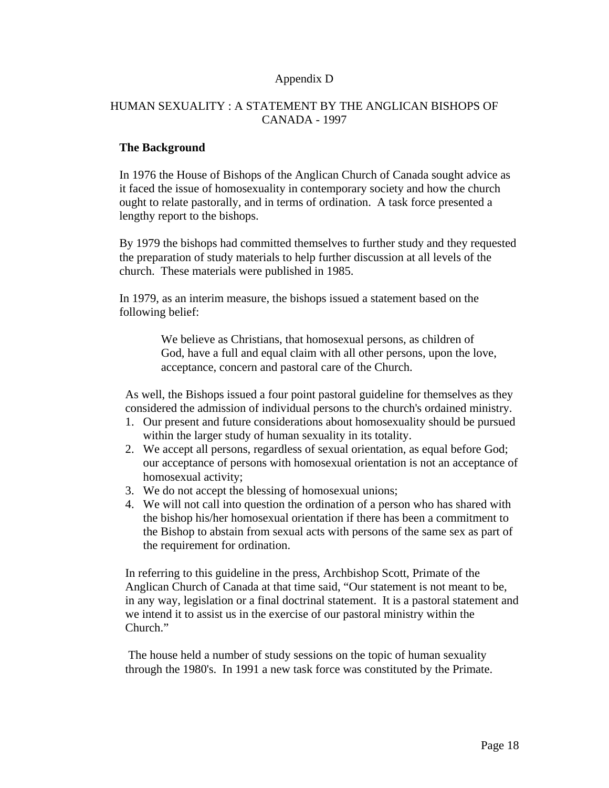## Appendix D

# HUMAN SEXUALITY : A STATEMENT BY THE ANGLICAN BISHOPS OF CANADA - 1997

# **The Background**

In 1976 the House of Bishops of the Anglican Church of Canada sought advice as it faced the issue of homosexuality in contemporary society and how the church ought to relate pastorally, and in terms of ordination. A task force presented a lengthy report to the bishops.

By 1979 the bishops had committed themselves to further study and they requested the preparation of study materials to help further discussion at all levels of the church. These materials were published in 1985.

In 1979, as an interim measure, the bishops issued a statement based on the following belief:

> We believe as Christians, that homosexual persons, as children of God, have a full and equal claim with all other persons, upon the love, acceptance, concern and pastoral care of the Church.

As well, the Bishops issued a four point pastoral guideline for themselves as they considered the admission of individual persons to the church's ordained ministry.

- 1. Our present and future considerations about homosexuality should be pursued within the larger study of human sexuality in its totality.
- 2. We accept all persons, regardless of sexual orientation, as equal before God; our acceptance of persons with homosexual orientation is not an acceptance of homosexual activity;
- 3. We do not accept the blessing of homosexual unions;
- 4. We will not call into question the ordination of a person who has shared with the bishop his/her homosexual orientation if there has been a commitment to the Bishop to abstain from sexual acts with persons of the same sex as part of the requirement for ordination.

In referring to this guideline in the press, Archbishop Scott, Primate of the Anglican Church of Canada at that time said, "Our statement is not meant to be, in any way, legislation or a final doctrinal statement. It is a pastoral statement and we intend it to assist us in the exercise of our pastoral ministry within the Church."

 The house held a number of study sessions on the topic of human sexuality through the 1980's. In 1991 a new task force was constituted by the Primate.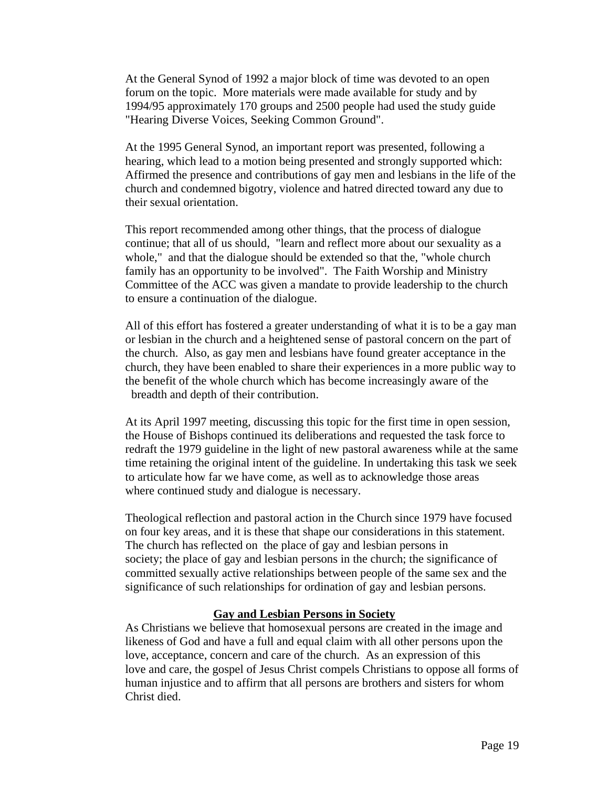At the General Synod of 1992 a major block of time was devoted to an open forum on the topic. More materials were made available for study and by 1994/95 approximately 170 groups and 2500 people had used the study guide "Hearing Diverse Voices, Seeking Common Ground".

At the 1995 General Synod, an important report was presented, following a hearing, which lead to a motion being presented and strongly supported which: Affirmed the presence and contributions of gay men and lesbians in the life of the church and condemned bigotry, violence and hatred directed toward any due to their sexual orientation.

This report recommended among other things, that the process of dialogue continue; that all of us should, "learn and reflect more about our sexuality as a whole," and that the dialogue should be extended so that the, "whole church family has an opportunity to be involved". The Faith Worship and Ministry Committee of the ACC was given a mandate to provide leadership to the church to ensure a continuation of the dialogue.

All of this effort has fostered a greater understanding of what it is to be a gay man or lesbian in the church and a heightened sense of pastoral concern on the part of the church. Also, as gay men and lesbians have found greater acceptance in the church, they have been enabled to share their experiences in a more public way to the benefit of the whole church which has become increasingly aware of the breadth and depth of their contribution.

At its April 1997 meeting, discussing this topic for the first time in open session, the House of Bishops continued its deliberations and requested the task force to redraft the 1979 guideline in the light of new pastoral awareness while at the same time retaining the original intent of the guideline. In undertaking this task we seek to articulate how far we have come, as well as to acknowledge those areas where continued study and dialogue is necessary.

Theological reflection and pastoral action in the Church since 1979 have focused on four key areas, and it is these that shape our considerations in this statement. The church has reflected on the place of gay and lesbian persons in society; the place of gay and lesbian persons in the church; the significance of committed sexually active relationships between people of the same sex and the significance of such relationships for ordination of gay and lesbian persons.

#### **Gay and Lesbian Persons in Society**

As Christians we believe that homosexual persons are created in the image and likeness of God and have a full and equal claim with all other persons upon the love, acceptance, concern and care of the church. As an expression of this love and care, the gospel of Jesus Christ compels Christians to oppose all forms of human injustice and to affirm that all persons are brothers and sisters for whom Christ died.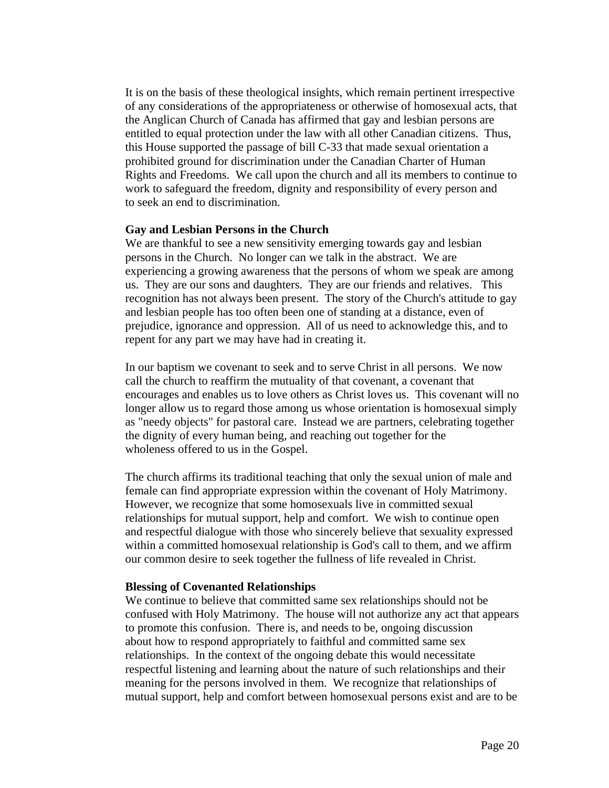It is on the basis of these theological insights, which remain pertinent irrespective of any considerations of the appropriateness or otherwise of homosexual acts, that the Anglican Church of Canada has affirmed that gay and lesbian persons are entitled to equal protection under the law with all other Canadian citizens. Thus, this House supported the passage of bill C-33 that made sexual orientation a prohibited ground for discrimination under the Canadian Charter of Human Rights and Freedoms. We call upon the church and all its members to continue to work to safeguard the freedom, dignity and responsibility of every person and to seek an end to discrimination.

#### **Gay and Lesbian Persons in the Church**

We are thankful to see a new sensitivity emerging towards gay and lesbian persons in the Church. No longer can we talk in the abstract. We are experiencing a growing awareness that the persons of whom we speak are among us. They are our sons and daughters. They are our friends and relatives. This recognition has not always been present. The story of the Church's attitude to gay and lesbian people has too often been one of standing at a distance, even of prejudice, ignorance and oppression. All of us need to acknowledge this, and to repent for any part we may have had in creating it.

In our baptism we covenant to seek and to serve Christ in all persons. We now call the church to reaffirm the mutuality of that covenant, a covenant that encourages and enables us to love others as Christ loves us. This covenant will no longer allow us to regard those among us whose orientation is homosexual simply as "needy objects" for pastoral care. Instead we are partners, celebrating together the dignity of every human being, and reaching out together for the wholeness offered to us in the Gospel.

The church affirms its traditional teaching that only the sexual union of male and female can find appropriate expression within the covenant of Holy Matrimony. However, we recognize that some homosexuals live in committed sexual relationships for mutual support, help and comfort. We wish to continue open and respectful dialogue with those who sincerely believe that sexuality expressed within a committed homosexual relationship is God's call to them, and we affirm our common desire to seek together the fullness of life revealed in Christ.

#### **Blessing of Covenanted Relationships**

We continue to believe that committed same sex relationships should not be confused with Holy Matrimony. The house will not authorize any act that appears to promote this confusion. There is, and needs to be, ongoing discussion about how to respond appropriately to faithful and committed same sex relationships. In the context of the ongoing debate this would necessitate respectful listening and learning about the nature of such relationships and their meaning for the persons involved in them. We recognize that relationships of mutual support, help and comfort between homosexual persons exist and are to be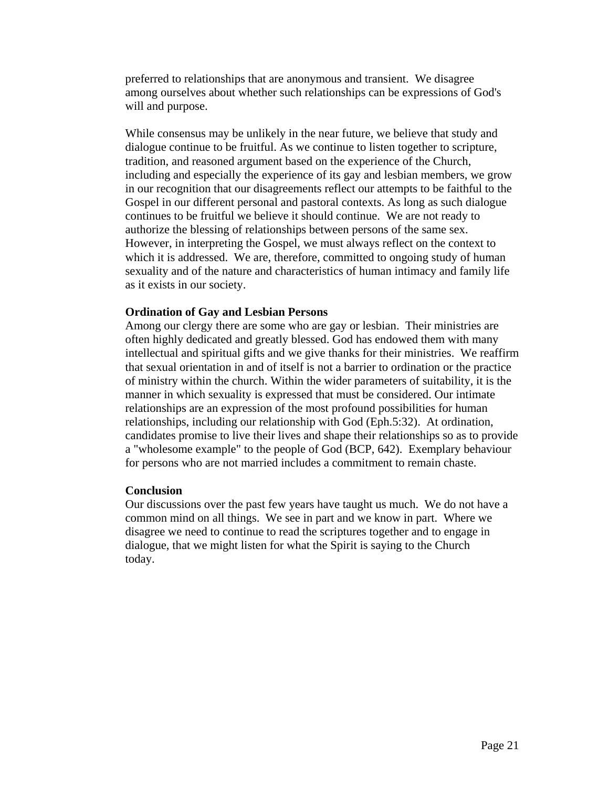preferred to relationships that are anonymous and transient. We disagree among ourselves about whether such relationships can be expressions of God's will and purpose.

While consensus may be unlikely in the near future, we believe that study and dialogue continue to be fruitful. As we continue to listen together to scripture, tradition, and reasoned argument based on the experience of the Church, including and especially the experience of its gay and lesbian members, we grow in our recognition that our disagreements reflect our attempts to be faithful to the Gospel in our different personal and pastoral contexts. As long as such dialogue continues to be fruitful we believe it should continue. We are not ready to authorize the blessing of relationships between persons of the same sex. However, in interpreting the Gospel, we must always reflect on the context to which it is addressed. We are, therefore, committed to ongoing study of human sexuality and of the nature and characteristics of human intimacy and family life as it exists in our society.

#### **Ordination of Gay and Lesbian Persons**

Among our clergy there are some who are gay or lesbian. Their ministries are often highly dedicated and greatly blessed. God has endowed them with many intellectual and spiritual gifts and we give thanks for their ministries. We reaffirm that sexual orientation in and of itself is not a barrier to ordination or the practice of ministry within the church. Within the wider parameters of suitability, it is the manner in which sexuality is expressed that must be considered. Our intimate relationships are an expression of the most profound possibilities for human relationships, including our relationship with God (Eph.5:32). At ordination, candidates promise to live their lives and shape their relationships so as to provide a "wholesome example" to the people of God (BCP, 642). Exemplary behaviour for persons who are not married includes a commitment to remain chaste.

#### **Conclusion**

Our discussions over the past few years have taught us much. We do not have a common mind on all things. We see in part and we know in part. Where we disagree we need to continue to read the scriptures together and to engage in dialogue, that we might listen for what the Spirit is saying to the Church today.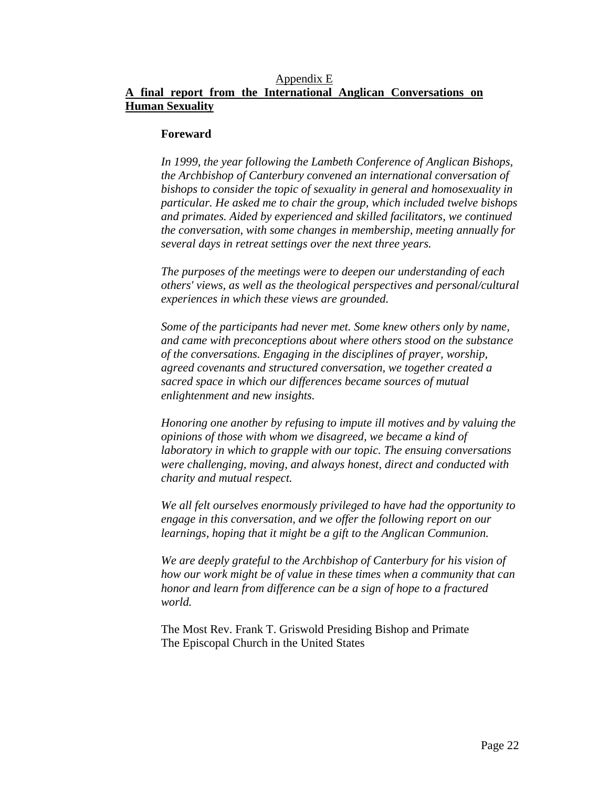#### Appendix E **A final report from the International Anglican Conversations on Human Sexuality**

#### **Foreward**

*In 1999, the year following the Lambeth Conference of Anglican Bishops, the Archbishop of Canterbury convened an international conversation of bishops to consider the topic of sexuality in general and homosexuality in particular. He asked me to chair the group, which included twelve bishops and primates. Aided by experienced and skilled facilitators, we continued the conversation, with some changes in membership, meeting annually for several days in retreat settings over the next three years.*

*The purposes of the meetings were to deepen our understanding of each others' views, as well as the theological perspectives and personal/cultural experiences in which these views are grounded.*

*Some of the participants had never met. Some knew others only by name, and came with preconceptions about where others stood on the substance of the conversations. Engaging in the disciplines of prayer, worship, agreed covenants and structured conversation, we together created a sacred space in which our differences became sources of mutual enlightenment and new insights.*

*Honoring one another by refusing to impute ill motives and by valuing the opinions of those with whom we disagreed, we became a kind of laboratory in which to grapple with our topic. The ensuing conversations were challenging, moving, and always honest, direct and conducted with charity and mutual respect.*

*We all felt ourselves enormously privileged to have had the opportunity to engage in this conversation, and we offer the following report on our learnings, hoping that it might be a gift to the Anglican Communion.*

*We are deeply grateful to the Archbishop of Canterbury for his vision of how our work might be of value in these times when a community that can honor and learn from difference can be a sign of hope to a fractured world.*

The Most Rev. Frank T. Griswold Presiding Bishop and Primate The Episcopal Church in the United States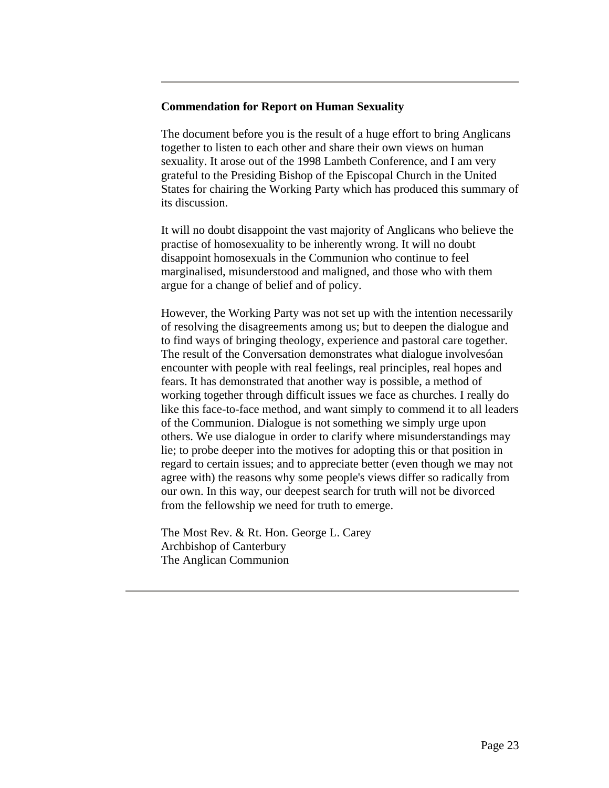## **Commendation for Report on Human Sexuality**

The document before you is the result of a huge effort to bring Anglicans together to listen to each other and share their own views on human sexuality. It arose out of the 1998 Lambeth Conference, and I am very grateful to the Presiding Bishop of the Episcopal Church in the United States for chairing the Working Party which has produced this summary of its discussion.

It will no doubt disappoint the vast majority of Anglicans who believe the practise of homosexuality to be inherently wrong. It will no doubt disappoint homosexuals in the Communion who continue to feel marginalised, misunderstood and maligned, and those who with them argue for a change of belief and of policy.

However, the Working Party was not set up with the intention necessarily of resolving the disagreements among us; but to deepen the dialogue and to find ways of bringing theology, experience and pastoral care together. The result of the Conversation demonstrates what dialogue involvesóan encounter with people with real feelings, real principles, real hopes and fears. It has demonstrated that another way is possible, a method of working together through difficult issues we face as churches. I really do like this face-to-face method, and want simply to commend it to all leaders of the Communion. Dialogue is not something we simply urge upon others. We use dialogue in order to clarify where misunderstandings may lie; to probe deeper into the motives for adopting this or that position in regard to certain issues; and to appreciate better (even though we may not agree with) the reasons why some people's views differ so radically from our own. In this way, our deepest search for truth will not be divorced from the fellowship we need for truth to emerge.

The Most Rev. & Rt. Hon. George L. Carey Archbishop of Canterbury The Anglican Communion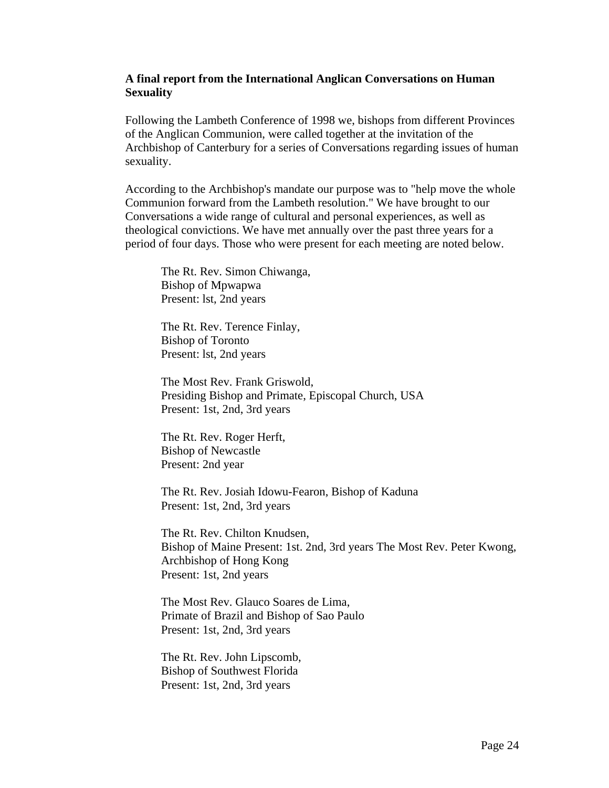#### **A final report from the International Anglican Conversations on Human Sexuality**

Following the Lambeth Conference of 1998 we, bishops from different Provinces of the Anglican Communion, were called together at the invitation of the Archbishop of Canterbury for a series of Conversations regarding issues of human sexuality.

According to the Archbishop's mandate our purpose was to "help move the whole Communion forward from the Lambeth resolution." We have brought to our Conversations a wide range of cultural and personal experiences, as well as theological convictions. We have met annually over the past three years for a period of four days. Those who were present for each meeting are noted below.

The Rt. Rev. Simon Chiwanga, Bishop of Mpwapwa Present: lst, 2nd years

The Rt. Rev. Terence Finlay, Bishop of Toronto Present: lst, 2nd years

The Most Rev. Frank Griswold, Presiding Bishop and Primate, Episcopal Church, USA Present: 1st, 2nd, 3rd years

The Rt. Rev. Roger Herft, Bishop of Newcastle Present: 2nd year

The Rt. Rev. Josiah Idowu-Fearon, Bishop of Kaduna Present: 1st, 2nd, 3rd years

The Rt. Rev. Chilton Knudsen, Bishop of Maine Present: 1st. 2nd, 3rd years The Most Rev. Peter Kwong, Archbishop of Hong Kong Present: 1st, 2nd years

The Most Rev. Glauco Soares de Lima, Primate of Brazil and Bishop of Sao Paulo Present: 1st, 2nd, 3rd years

The Rt. Rev. John Lipscomb, Bishop of Southwest Florida Present: 1st, 2nd, 3rd years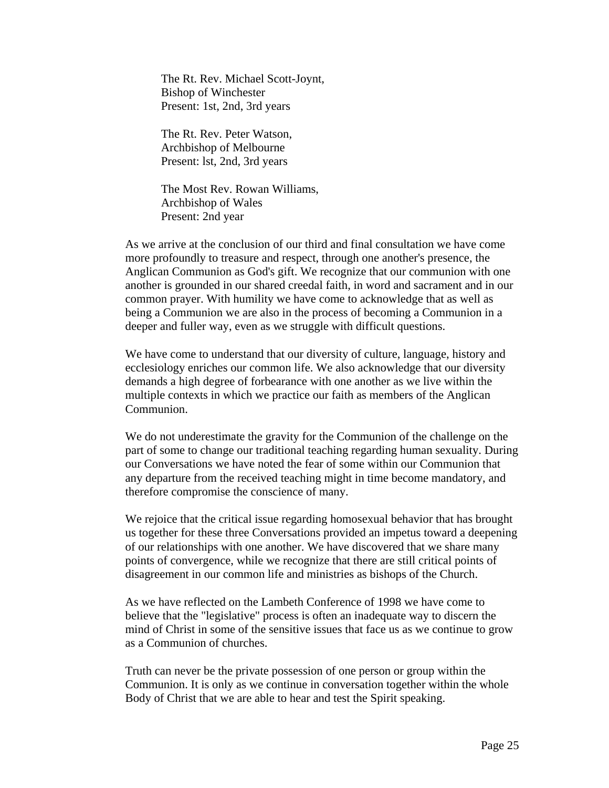The Rt. Rev. Michael Scott-Joynt, Bishop of Winchester Present: 1st, 2nd, 3rd years

The Rt. Rev. Peter Watson, Archbishop of Melbourne Present: lst, 2nd, 3rd years

The Most Rev. Rowan Williams, Archbishop of Wales Present: 2nd year

As we arrive at the conclusion of our third and final consultation we have come more profoundly to treasure and respect, through one another's presence, the Anglican Communion as God's gift. We recognize that our communion with one another is grounded in our shared creedal faith, in word and sacrament and in our common prayer. With humility we have come to acknowledge that as well as being a Communion we are also in the process of becoming a Communion in a deeper and fuller way, even as we struggle with difficult questions.

We have come to understand that our diversity of culture, language, history and ecclesiology enriches our common life. We also acknowledge that our diversity demands a high degree of forbearance with one another as we live within the multiple contexts in which we practice our faith as members of the Anglican Communion.

We do not underestimate the gravity for the Communion of the challenge on the part of some to change our traditional teaching regarding human sexuality. During our Conversations we have noted the fear of some within our Communion that any departure from the received teaching might in time become mandatory, and therefore compromise the conscience of many.

We rejoice that the critical issue regarding homosexual behavior that has brought us together for these three Conversations provided an impetus toward a deepening of our relationships with one another. We have discovered that we share many points of convergence, while we recognize that there are still critical points of disagreement in our common life and ministries as bishops of the Church.

As we have reflected on the Lambeth Conference of 1998 we have come to believe that the "legislative" process is often an inadequate way to discern the mind of Christ in some of the sensitive issues that face us as we continue to grow as a Communion of churches.

Truth can never be the private possession of one person or group within the Communion. It is only as we continue in conversation together within the whole Body of Christ that we are able to hear and test the Spirit speaking.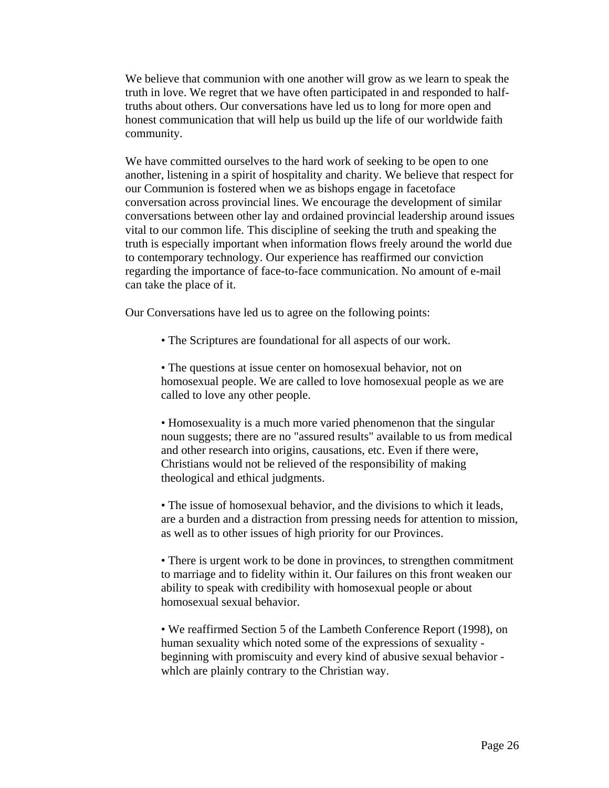We believe that communion with one another will grow as we learn to speak the truth in love. We regret that we have often participated in and responded to halftruths about others. Our conversations have led us to long for more open and honest communication that will help us build up the life of our worldwide faith community.

We have committed ourselves to the hard work of seeking to be open to one another, listening in a spirit of hospitality and charity. We believe that respect for our Communion is fostered when we as bishops engage in facetoface conversation across provincial lines. We encourage the development of similar conversations between other lay and ordained provincial leadership around issues vital to our common life. This discipline of seeking the truth and speaking the truth is especially important when information flows freely around the world due to contemporary technology. Our experience has reaffirmed our conviction regarding the importance of face-to-face communication. No amount of e-mail can take the place of it.

Our Conversations have led us to agree on the following points:

• The Scriptures are foundational for all aspects of our work.

• The questions at issue center on homosexual behavior, not on homosexual people. We are called to love homosexual people as we are called to love any other people.

• Homosexuality is a much more varied phenomenon that the singular noun suggests; there are no "assured results" available to us from medical and other research into origins, causations, etc. Even if there were, Christians would not be relieved of the responsibility of making theological and ethical judgments.

• The issue of homosexual behavior, and the divisions to which it leads, are a burden and a distraction from pressing needs for attention to mission, as well as to other issues of high priority for our Provinces.

• There is urgent work to be done in provinces, to strengthen commitment to marriage and to fidelity within it. Our failures on this front weaken our ability to speak with credibility with homosexual people or about homosexual sexual behavior.

• We reaffirmed Section 5 of the Lambeth Conference Report (1998), on human sexuality which noted some of the expressions of sexuality beginning with promiscuity and every kind of abusive sexual behavior whlch are plainly contrary to the Christian way.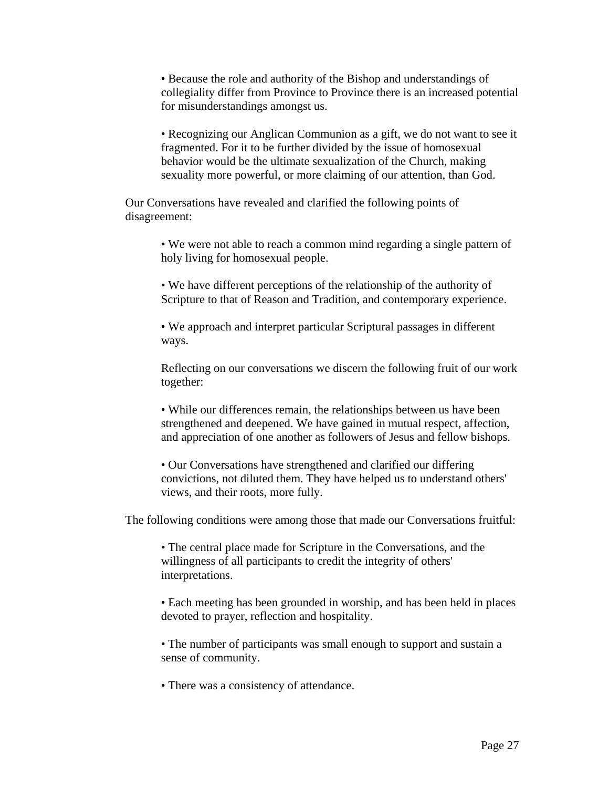• Because the role and authority of the Bishop and understandings of collegiality differ from Province to Province there is an increased potential for misunderstandings amongst us.

• Recognizing our Anglican Communion as a gift, we do not want to see it fragmented. For it to be further divided by the issue of homosexual behavior would be the ultimate sexualization of the Church, making sexuality more powerful, or more claiming of our attention, than God.

Our Conversations have revealed and clarified the following points of disagreement:

- We were not able to reach a common mind regarding a single pattern of holy living for homosexual people.
- We have different perceptions of the relationship of the authority of Scripture to that of Reason and Tradition, and contemporary experience.
- We approach and interpret particular Scriptural passages in different ways.

Reflecting on our conversations we discern the following fruit of our work together:

• While our differences remain, the relationships between us have been strengthened and deepened. We have gained in mutual respect, affection, and appreciation of one another as followers of Jesus and fellow bishops.

• Our Conversations have strengthened and clarified our differing convictions, not diluted them. They have helped us to understand others' views, and their roots, more fully.

The following conditions were among those that made our Conversations fruitful:

• The central place made for Scripture in the Conversations, and the willingness of all participants to credit the integrity of others' interpretations.

• Each meeting has been grounded in worship, and has been held in places devoted to prayer, reflection and hospitality.

• The number of participants was small enough to support and sustain a sense of community.

• There was a consistency of attendance.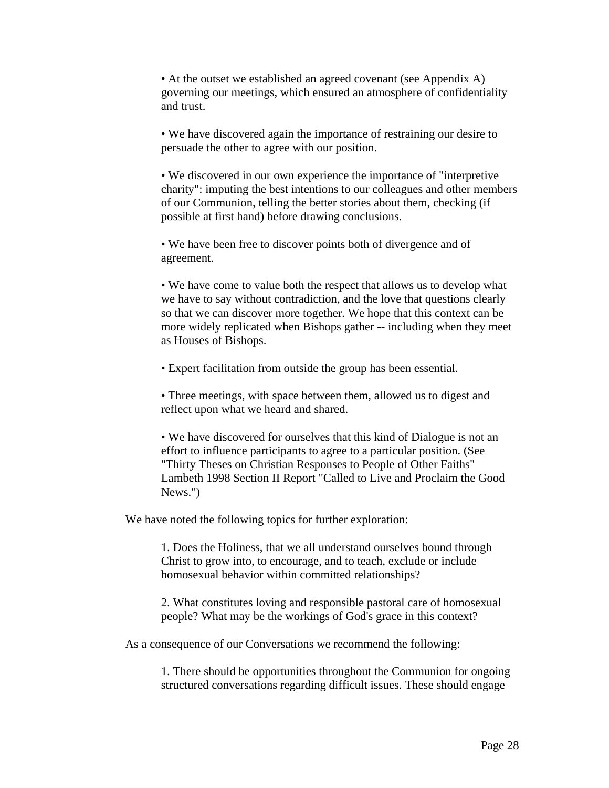• At the outset we established an agreed covenant (see Appendix A) governing our meetings, which ensured an atmosphere of confidentiality and trust.

• We have discovered again the importance of restraining our desire to persuade the other to agree with our position.

• We discovered in our own experience the importance of "interpretive charity": imputing the best intentions to our colleagues and other members of our Communion, telling the better stories about them, checking (if possible at first hand) before drawing conclusions.

• We have been free to discover points both of divergence and of agreement.

• We have come to value both the respect that allows us to develop what we have to say without contradiction, and the love that questions clearly so that we can discover more together. We hope that this context can be more widely replicated when Bishops gather -- including when they meet as Houses of Bishops.

• Expert facilitation from outside the group has been essential.

• Three meetings, with space between them, allowed us to digest and reflect upon what we heard and shared.

• We have discovered for ourselves that this kind of Dialogue is not an effort to influence participants to agree to a particular position. (See "Thirty Theses on Christian Responses to People of Other Faiths" Lambeth 1998 Section II Report "Called to Live and Proclaim the Good News.")

We have noted the following topics for further exploration:

1. Does the Holiness, that we all understand ourselves bound through Christ to grow into, to encourage, and to teach, exclude or include homosexual behavior within committed relationships?

2. What constitutes loving and responsible pastoral care of homosexual people? What may be the workings of God's grace in this context?

As a consequence of our Conversations we recommend the following:

1. There should be opportunities throughout the Communion for ongoing structured conversations regarding difficult issues. These should engage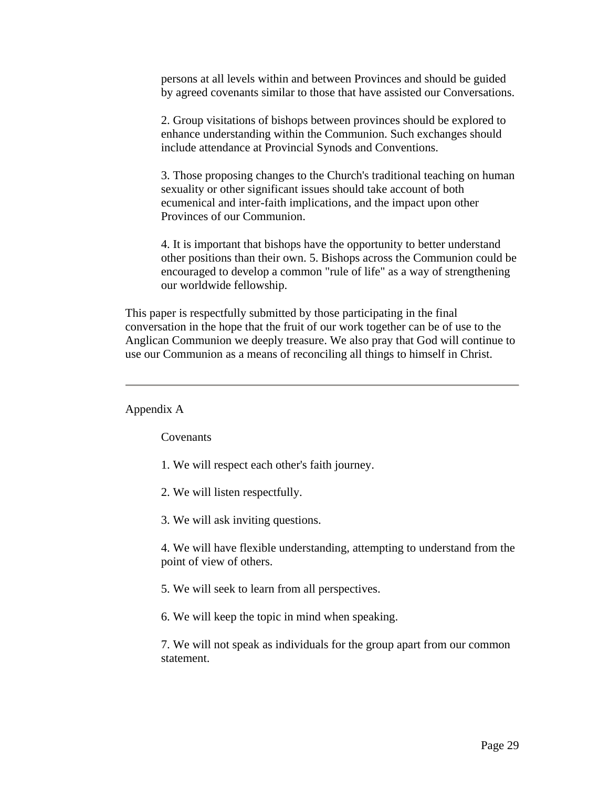persons at all levels within and between Provinces and should be guided by agreed covenants similar to those that have assisted our Conversations.

2. Group visitations of bishops between provinces should be explored to enhance understanding within the Communion. Such exchanges should include attendance at Provincial Synods and Conventions.

3. Those proposing changes to the Church's traditional teaching on human sexuality or other significant issues should take account of both ecumenical and inter-faith implications, and the impact upon other Provinces of our Communion.

4. It is important that bishops have the opportunity to better understand other positions than their own. 5. Bishops across the Communion could be encouraged to develop a common "rule of life" as a way of strengthening our worldwide fellowship.

This paper is respectfully submitted by those participating in the final conversation in the hope that the fruit of our work together can be of use to the Anglican Communion we deeply treasure. We also pray that God will continue to use our Communion as a means of reconciling all things to himself in Christ.

#### Appendix A

Covenants

1. We will respect each other's faith journey.

2. We will listen respectfully.

3. We will ask inviting questions.

4. We will have flexible understanding, attempting to understand from the point of view of others.

5. We will seek to learn from all perspectives.

6. We will keep the topic in mind when speaking.

7. We will not speak as individuals for the group apart from our common statement.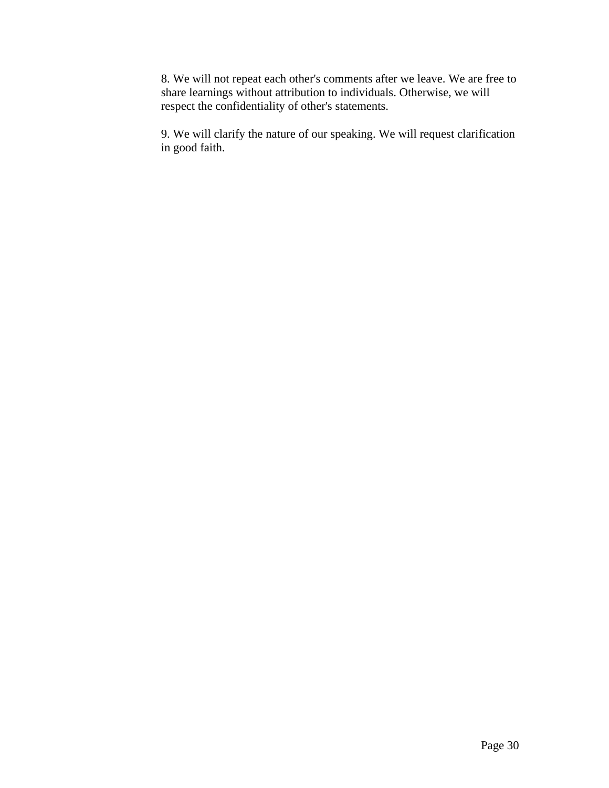8. We will not repeat each other's comments after we leave. We are free to share learnings without attribution to individuals. Otherwise, we will respect the confidentiality of other's statements.

9. We will clarify the nature of our speaking. We will request clarification in good faith.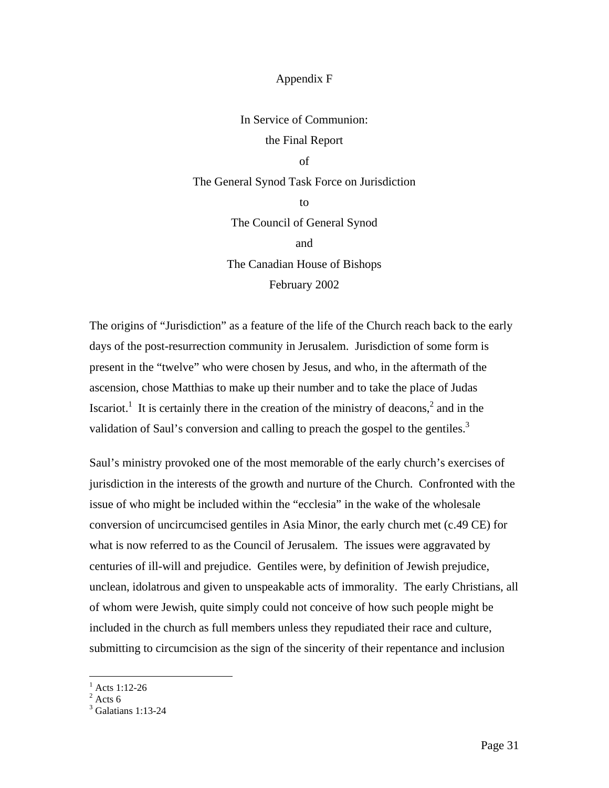#### Appendix F

# In Service of Communion: the Final Report of

The General Synod Task Force on Jurisdiction

to

The Council of General Synod

and The Canadian House of Bishops February 2002

The origins of "Jurisdiction" as a feature of the life of the Church reach back to the early days of the post-resurrection community in Jerusalem. Jurisdiction of some form is present in the "twelve" who were chosen by Jesus, and who, in the aftermath of the ascension, chose Matthias to make up their number and to take the place of Judas Iscariot.<sup>1</sup> It is certainly there in the creation of the ministry of deacons,<sup>[2](#page-30-1)</sup> and in the validation of Saul's conversion and calling to preach the gospel to the gentiles.<sup>[3](#page-30-2)</sup>

Saul's ministry provoked one of the most memorable of the early church's exercises of jurisdiction in the interests of the growth and nurture of the Church. Confronted with the issue of who might be included within the "ecclesia" in the wake of the wholesale conversion of uncircumcised gentiles in Asia Minor, the early church met (c.49 CE) for what is now referred to as the Council of Jerusalem. The issues were aggravated by centuries of ill-will and prejudice. Gentiles were, by definition of Jewish prejudice, unclean, idolatrous and given to unspeakable acts of immorality. The early Christians, all of whom were Jewish, quite simply could not conceive of how such people might be included in the church as full members unless they repudiated their race and culture, submitting to circumcision as the sign of the sincerity of their repentance and inclusion

 $\frac{1}{2}$  Acts 1:12-26

<span id="page-30-1"></span><span id="page-30-0"></span> $2$  Acts 6

<span id="page-30-2"></span> $3$  Galatians 1:13-24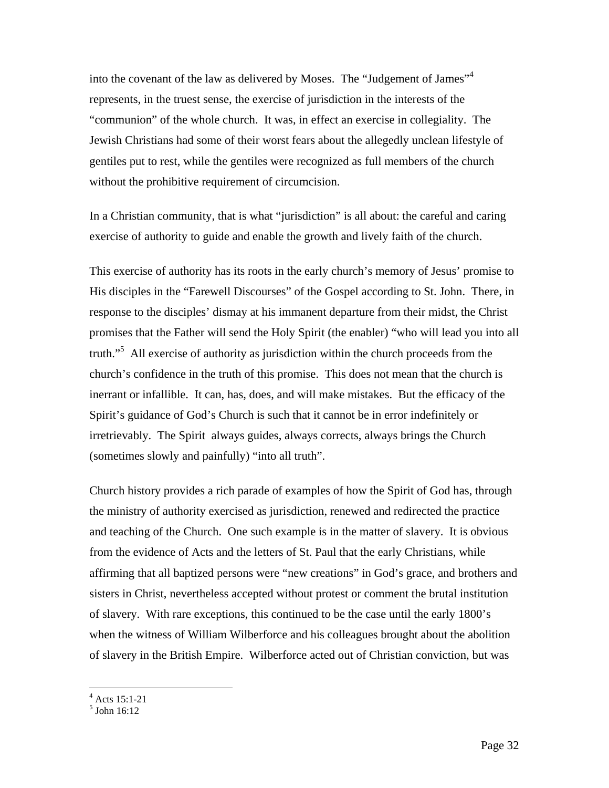into the covenant of the law as delivered by Moses. The "Judgement of James"[4](#page-31-0) represents, in the truest sense, the exercise of jurisdiction in the interests of the "communion" of the whole church. It was, in effect an exercise in collegiality. The Jewish Christians had some of their worst fears about the allegedly unclean lifestyle of gentiles put to rest, while the gentiles were recognized as full members of the church without the prohibitive requirement of circumcision.

In a Christian community, that is what "jurisdiction" is all about: the careful and caring exercise of authority to guide and enable the growth and lively faith of the church.

This exercise of authority has its roots in the early church's memory of Jesus' promise to His disciples in the "Farewell Discourses" of the Gospel according to St. John. There, in response to the disciples' dismay at his immanent departure from their midst, the Christ promises that the Father will send the Holy Spirit (the enabler) "who will lead you into all truth."<sup>5</sup> All exercise of authority as jurisdiction within the church proceeds from the church's confidence in the truth of this promise. This does not mean that the church is inerrant or infallible. It can, has, does, and will make mistakes. But the efficacy of the Spirit's guidance of God's Church is such that it cannot be in error indefinitely or irretrievably. The Spirit always guides, always corrects, always brings the Church (sometimes slowly and painfully) "into all truth".

Church history provides a rich parade of examples of how the Spirit of God has, through the ministry of authority exercised as jurisdiction, renewed and redirected the practice and teaching of the Church. One such example is in the matter of slavery. It is obvious from the evidence of Acts and the letters of St. Paul that the early Christians, while affirming that all baptized persons were "new creations" in God's grace, and brothers and sisters in Christ, nevertheless accepted without protest or comment the brutal institution of slavery. With rare exceptions, this continued to be the case until the early 1800's when the witness of William Wilberforce and his colleagues brought about the abolition of slavery in the British Empire. Wilberforce acted out of Christian conviction, but was

1

<span id="page-31-0"></span> $^4$  Acts 15:1-21<br> $^5$  John 16:12

<span id="page-31-1"></span>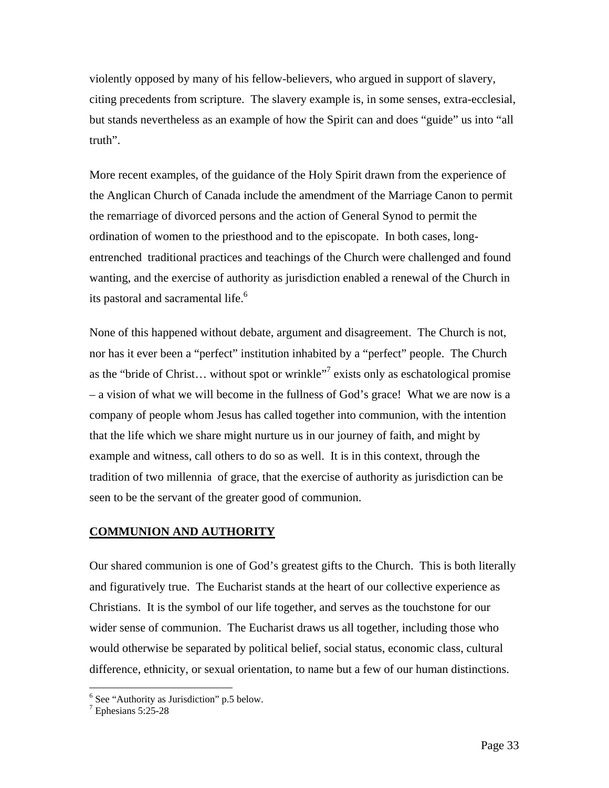violently opposed by many of his fellow-believers, who argued in support of slavery, citing precedents from scripture. The slavery example is, in some senses, extra-ecclesial, but stands nevertheless as an example of how the Spirit can and does "guide" us into "all truth".

More recent examples, of the guidance of the Holy Spirit drawn from the experience of the Anglican Church of Canada include the amendment of the Marriage Canon to permit the remarriage of divorced persons and the action of General Synod to permit the ordination of women to the priesthood and to the episcopate. In both cases, longentrenched traditional practices and teachings of the Church were challenged and found wanting, and the exercise of authority as jurisdiction enabled a renewal of the Church in its pastoral and sacramental life.<sup>6</sup>

None of this happened without debate, argument and disagreement. The Church is not, nor has it ever been a "perfect" institution inhabited by a "perfect" people. The Church as the "bride of Christ... without spot or wrinkle"<sup>[7](#page-32-1)</sup> exists only as eschatological promise – a vision of what we will become in the fullness of God's grace! What we are now is a company of people whom Jesus has called together into communion, with the intention that the life which we share might nurture us in our journey of faith, and might by example and witness, call others to do so as well. It is in this context, through the tradition of two millennia of grace, that the exercise of authority as jurisdiction can be seen to be the servant of the greater good of communion.

# **COMMUNION AND AUTHORITY**

Our shared communion is one of God's greatest gifts to the Church. This is both literally and figuratively true. The Eucharist stands at the heart of our collective experience as Christians. It is the symbol of our life together, and serves as the touchstone for our wider sense of communion. The Eucharist draws us all together, including those who would otherwise be separated by political belief, social status, economic class, cultural difference, ethnicity, or sexual orientation, to name but a few of our human distinctions.

<span id="page-32-0"></span> $\frac{6}{\text{See}}$  "Authority as Jurisdiction" p.5 below.

<span id="page-32-1"></span> $7$  Ephesians 5:25-28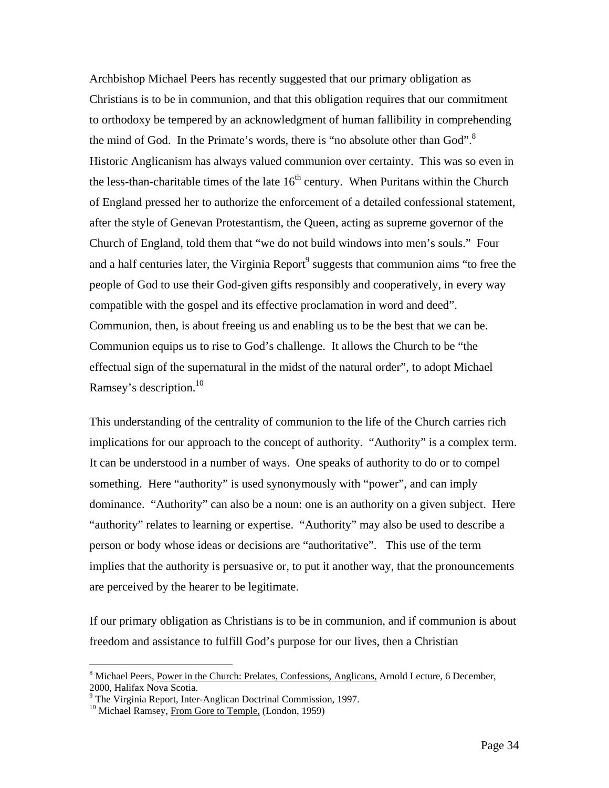Archbishop Michael Peers has recently suggested that our primary obligation as Christians is to be in communion, and that this obligation requires that our commitment to orthodoxy be tempered by an acknowledgment of human fallibility in comprehending the mind of God. In the Primate's words, there is "no absolute other than God".<sup>[8](#page-33-0)</sup> Historic Anglicanism has always valued communion over certainty. This was so even in the less-than-charitable times of the late  $16<sup>th</sup>$  century. When Puritans within the Church of England pressed her to authorize the enforcement of a detailed confessional statement, after the style of Genevan Protestantism, the Queen, acting as supreme governor of the Church of England, told them that "we do not build windows into men's souls." Four and a half centuries later, the Virginia Report $\theta$  suggests that communion aims "to free the people of God to use their God-given gifts responsibly and cooperatively, in every way compatible with the gospel and its effective proclamation in word and deed". Communion, then, is about freeing us and enabling us to be the best that we can be. Communion equips us to rise to God's challenge. It allows the Church to be "the effectual sign of the supernatural in the midst of the natural order", to adopt Michael Ramsey's description.<sup>[10](#page-33-2)</sup>

This understanding of the centrality of communion to the life of the Church carries rich implications for our approach to the concept of authority. "Authority" is a complex term. It can be understood in a number of ways. One speaks of authority to do or to compel something. Here "authority" is used synonymously with "power", and can imply dominance. "Authority" can also be a noun: one is an authority on a given subject. Here "authority" relates to learning or expertise. "Authority" may also be used to describe a person or body whose ideas or decisions are "authoritative". This use of the term implies that the authority is persuasive or, to put it another way, that the pronouncements are perceived by the hearer to be legitimate.

If our primary obligation as Christians is to be in communion, and if communion is about freedom and assistance to fulfill God's purpose for our lives, then a Christian

<span id="page-33-0"></span><sup>&</sup>lt;sup>8</sup> Michael Peers, *Power in the Church: Prelates, Confessions, Anglicans, Arnold Lecture, 6 December,* 2000, Halifax Nova Scotia.<br><sup>9</sup> The Virginia Report, Inter-Anglican Doctrinal Commission, 1997.<br><sup>10</sup> Michael Ramsey, <u>From Gore to Temple,</u> (London, 1959)

<span id="page-33-1"></span>

<span id="page-33-2"></span>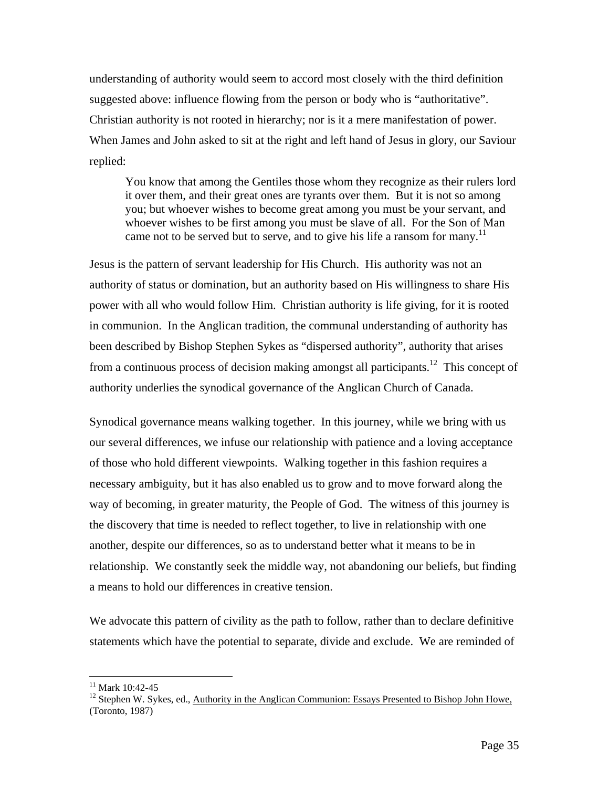understanding of authority would seem to accord most closely with the third definition suggested above: influence flowing from the person or body who is "authoritative". Christian authority is not rooted in hierarchy; nor is it a mere manifestation of power. When James and John asked to sit at the right and left hand of Jesus in glory, our Saviour replied:

You know that among the Gentiles those whom they recognize as their rulers lord it over them, and their great ones are tyrants over them. But it is not so among you; but whoever wishes to become great among you must be your servant, and whoever wishes to be first among you must be slave of all. For the Son of Man came not to be served but to serve, and to give his life a ransom for many.<sup>[11](#page-34-0)</sup>

Jesus is the pattern of servant leadership for His Church. His authority was not an authority of status or domination, but an authority based on His willingness to share His power with all who would follow Him. Christian authority is life giving, for it is rooted in communion. In the Anglican tradition, the communal understanding of authority has been described by Bishop Stephen Sykes as "dispersed authority", authority that arises from a continuous process of decision making amongst all participants.<sup>12</sup> This concept of authority underlies the synodical governance of the Anglican Church of Canada.

Synodical governance means walking together. In this journey, while we bring with us our several differences, we infuse our relationship with patience and a loving acceptance of those who hold different viewpoints. Walking together in this fashion requires a necessary ambiguity, but it has also enabled us to grow and to move forward along the way of becoming, in greater maturity, the People of God. The witness of this journey is the discovery that time is needed to reflect together, to live in relationship with one another, despite our differences, so as to understand better what it means to be in relationship. We constantly seek the middle way, not abandoning our beliefs, but finding a means to hold our differences in creative tension.

We advocate this pattern of civility as the path to follow, rather than to declare definitive statements which have the potential to separate, divide and exclude. We are reminded of

<span id="page-34-1"></span><span id="page-34-0"></span>

<sup>&</sup>lt;sup>11</sup> Mark 10:42-45<br><sup>12</sup> Stephen W. Sykes, ed., <u>Authority in the Anglican Communion: Essays Presented to Bishop John Howe,</u> (Toronto, 1987)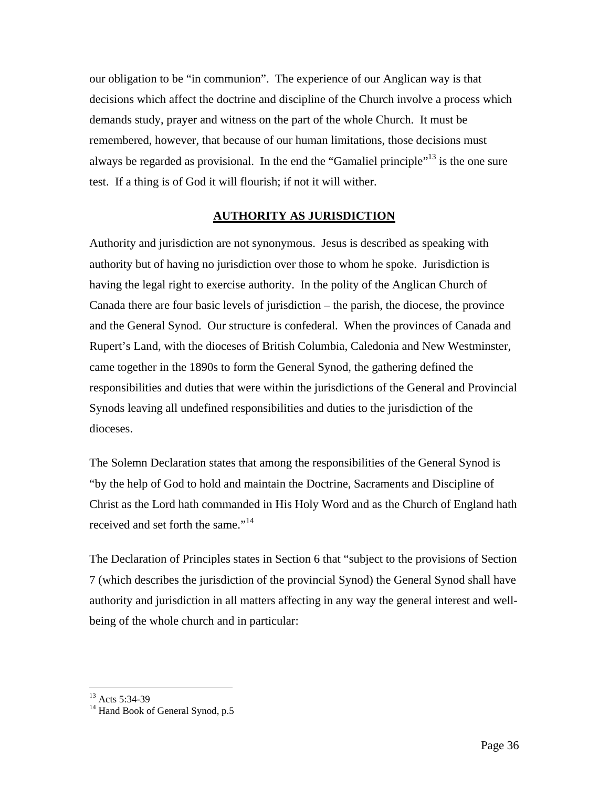our obligation to be "in communion". The experience of our Anglican way is that decisions which affect the doctrine and discipline of the Church involve a process which demands study, prayer and witness on the part of the whole Church. It must be remembered, however, that because of our human limitations, those decisions must always be regarded as provisional. In the end the "Gamaliel principle"<sup>13</sup> is the one sure test. If a thing is of God it will flourish; if not it will wither.

# **AUTHORITY AS JURISDICTION**

Authority and jurisdiction are not synonymous. Jesus is described as speaking with authority but of having no jurisdiction over those to whom he spoke. Jurisdiction is having the legal right to exercise authority. In the polity of the Anglican Church of Canada there are four basic levels of jurisdiction – the parish, the diocese, the province and the General Synod. Our structure is confederal. When the provinces of Canada and Rupert's Land, with the dioceses of British Columbia, Caledonia and New Westminster, came together in the 1890s to form the General Synod, the gathering defined the responsibilities and duties that were within the jurisdictions of the General and Provincial Synods leaving all undefined responsibilities and duties to the jurisdiction of the dioceses.

The Solemn Declaration states that among the responsibilities of the General Synod is "by the help of God to hold and maintain the Doctrine, Sacraments and Discipline of Christ as the Lord hath commanded in His Holy Word and as the Church of England hath received and set forth the same."<sup>[14](#page-35-1)</sup>

The Declaration of Principles states in Section 6 that "subject to the provisions of Section 7 (which describes the jurisdiction of the provincial Synod) the General Synod shall have authority and jurisdiction in all matters affecting in any way the general interest and wellbeing of the whole church and in particular:

<span id="page-35-1"></span><span id="page-35-0"></span>

<sup>&</sup>lt;sup>13</sup> Acts 5:34-39<br><sup>14</sup> Hand Book of General Synod, p.5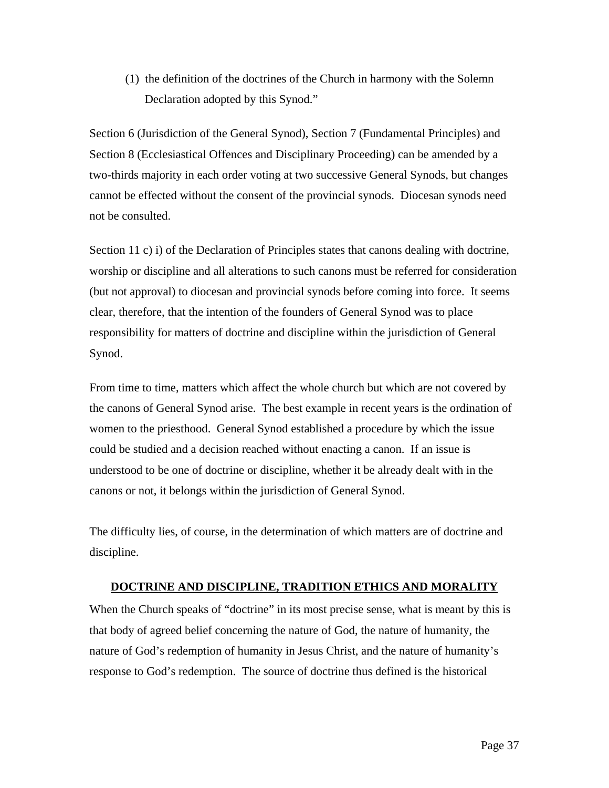(1) the definition of the doctrines of the Church in harmony with the Solemn Declaration adopted by this Synod."

Section 6 (Jurisdiction of the General Synod), Section 7 (Fundamental Principles) and Section 8 (Ecclesiastical Offences and Disciplinary Proceeding) can be amended by a two-thirds majority in each order voting at two successive General Synods, but changes cannot be effected without the consent of the provincial synods. Diocesan synods need not be consulted.

Section 11 c) i) of the Declaration of Principles states that canons dealing with doctrine, worship or discipline and all alterations to such canons must be referred for consideration (but not approval) to diocesan and provincial synods before coming into force. It seems clear, therefore, that the intention of the founders of General Synod was to place responsibility for matters of doctrine and discipline within the jurisdiction of General Synod.

From time to time, matters which affect the whole church but which are not covered by the canons of General Synod arise. The best example in recent years is the ordination of women to the priesthood. General Synod established a procedure by which the issue could be studied and a decision reached without enacting a canon. If an issue is understood to be one of doctrine or discipline, whether it be already dealt with in the canons or not, it belongs within the jurisdiction of General Synod.

The difficulty lies, of course, in the determination of which matters are of doctrine and discipline.

#### **DOCTRINE AND DISCIPLINE, TRADITION ETHICS AND MORALITY**

When the Church speaks of "doctrine" in its most precise sense, what is meant by this is that body of agreed belief concerning the nature of God, the nature of humanity, the nature of God's redemption of humanity in Jesus Christ, and the nature of humanity's response to God's redemption. The source of doctrine thus defined is the historical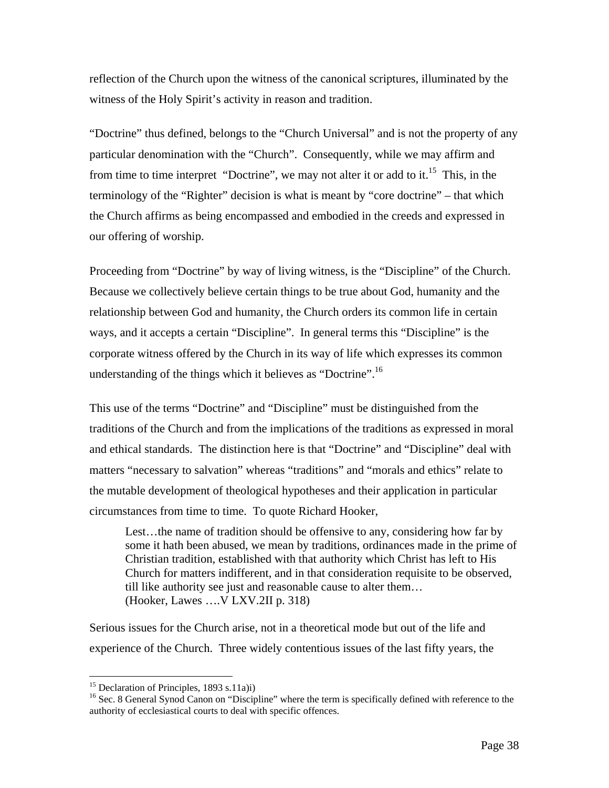reflection of the Church upon the witness of the canonical scriptures, illuminated by the witness of the Holy Spirit's activity in reason and tradition.

"Doctrine" thus defined, belongs to the "Church Universal" and is not the property of any particular denomination with the "Church". Consequently, while we may affirm and from time to time interpret "Doctrine", we may not alter it or add to it.<sup>15</sup> This, in the terminology of the "Righter" decision is what is meant by "core doctrine" – that which the Church affirms as being encompassed and embodied in the creeds and expressed in our offering of worship.

Proceeding from "Doctrine" by way of living witness, is the "Discipline" of the Church. Because we collectively believe certain things to be true about God, humanity and the relationship between God and humanity, the Church orders its common life in certain ways, and it accepts a certain "Discipline". In general terms this "Discipline" is the corporate witness offered by the Church in its way of life which expresses its common understanding of the things which it believes as "Doctrine".<sup>[16](#page-37-1)</sup>

This use of the terms "Doctrine" and "Discipline" must be distinguished from the traditions of the Church and from the implications of the traditions as expressed in moral and ethical standards. The distinction here is that "Doctrine" and "Discipline" deal with matters "necessary to salvation" whereas "traditions" and "morals and ethics" relate to the mutable development of theological hypotheses and their application in particular circumstances from time to time. To quote Richard Hooker,

Lest…the name of tradition should be offensive to any, considering how far by some it hath been abused, we mean by traditions, ordinances made in the prime of Christian tradition, established with that authority which Christ has left to His Church for matters indifferent, and in that consideration requisite to be observed, till like authority see just and reasonable cause to alter them… (Hooker, Lawes ….V LXV.2II p. 318)

Serious issues for the Church arise, not in a theoretical mode but out of the life and experience of the Church. Three widely contentious issues of the last fifty years, the

<span id="page-37-1"></span><span id="page-37-0"></span>

<sup>&</sup>lt;sup>15</sup> Declaration of Principles, 1893 s.11a)i)<br><sup>16</sup> Sec. 8 General Synod Canon on "Discipline" where the term is specifically defined with reference to the authority of ecclesiastical courts to deal with specific offences.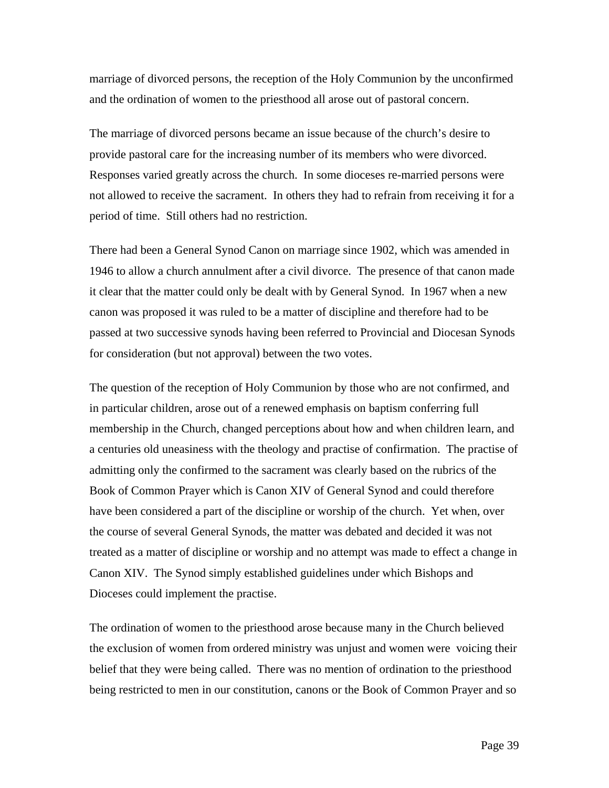marriage of divorced persons, the reception of the Holy Communion by the unconfirmed and the ordination of women to the priesthood all arose out of pastoral concern.

The marriage of divorced persons became an issue because of the church's desire to provide pastoral care for the increasing number of its members who were divorced. Responses varied greatly across the church. In some dioceses re-married persons were not allowed to receive the sacrament. In others they had to refrain from receiving it for a period of time. Still others had no restriction.

There had been a General Synod Canon on marriage since 1902, which was amended in 1946 to allow a church annulment after a civil divorce. The presence of that canon made it clear that the matter could only be dealt with by General Synod. In 1967 when a new canon was proposed it was ruled to be a matter of discipline and therefore had to be passed at two successive synods having been referred to Provincial and Diocesan Synods for consideration (but not approval) between the two votes.

The question of the reception of Holy Communion by those who are not confirmed, and in particular children, arose out of a renewed emphasis on baptism conferring full membership in the Church, changed perceptions about how and when children learn, and a centuries old uneasiness with the theology and practise of confirmation. The practise of admitting only the confirmed to the sacrament was clearly based on the rubrics of the Book of Common Prayer which is Canon XIV of General Synod and could therefore have been considered a part of the discipline or worship of the church. Yet when, over the course of several General Synods, the matter was debated and decided it was not treated as a matter of discipline or worship and no attempt was made to effect a change in Canon XIV. The Synod simply established guidelines under which Bishops and Dioceses could implement the practise.

The ordination of women to the priesthood arose because many in the Church believed the exclusion of women from ordered ministry was unjust and women were voicing their belief that they were being called. There was no mention of ordination to the priesthood being restricted to men in our constitution, canons or the Book of Common Prayer and so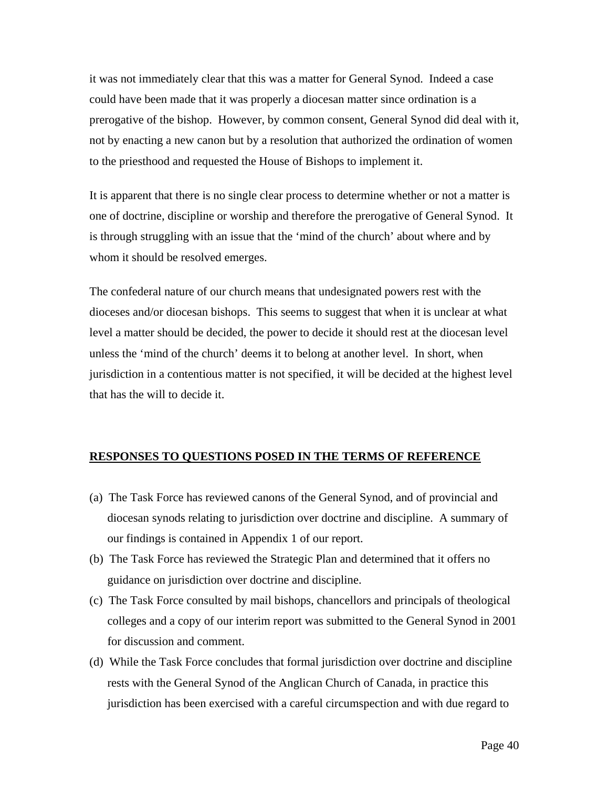it was not immediately clear that this was a matter for General Synod. Indeed a case could have been made that it was properly a diocesan matter since ordination is a prerogative of the bishop. However, by common consent, General Synod did deal with it, not by enacting a new canon but by a resolution that authorized the ordination of women to the priesthood and requested the House of Bishops to implement it.

It is apparent that there is no single clear process to determine whether or not a matter is one of doctrine, discipline or worship and therefore the prerogative of General Synod. It is through struggling with an issue that the 'mind of the church' about where and by whom it should be resolved emerges.

The confederal nature of our church means that undesignated powers rest with the dioceses and/or diocesan bishops. This seems to suggest that when it is unclear at what level a matter should be decided, the power to decide it should rest at the diocesan level unless the 'mind of the church' deems it to belong at another level. In short, when jurisdiction in a contentious matter is not specified, it will be decided at the highest level that has the will to decide it.

#### **RESPONSES TO QUESTIONS POSED IN THE TERMS OF REFERENCE**

- (a) The Task Force has reviewed canons of the General Synod, and of provincial and diocesan synods relating to jurisdiction over doctrine and discipline. A summary of our findings is contained in Appendix 1 of our report.
- (b) The Task Force has reviewed the Strategic Plan and determined that it offers no guidance on jurisdiction over doctrine and discipline.
- (c) The Task Force consulted by mail bishops, chancellors and principals of theological colleges and a copy of our interim report was submitted to the General Synod in 2001 for discussion and comment.
- (d) While the Task Force concludes that formal jurisdiction over doctrine and discipline rests with the General Synod of the Anglican Church of Canada, in practice this jurisdiction has been exercised with a careful circumspection and with due regard to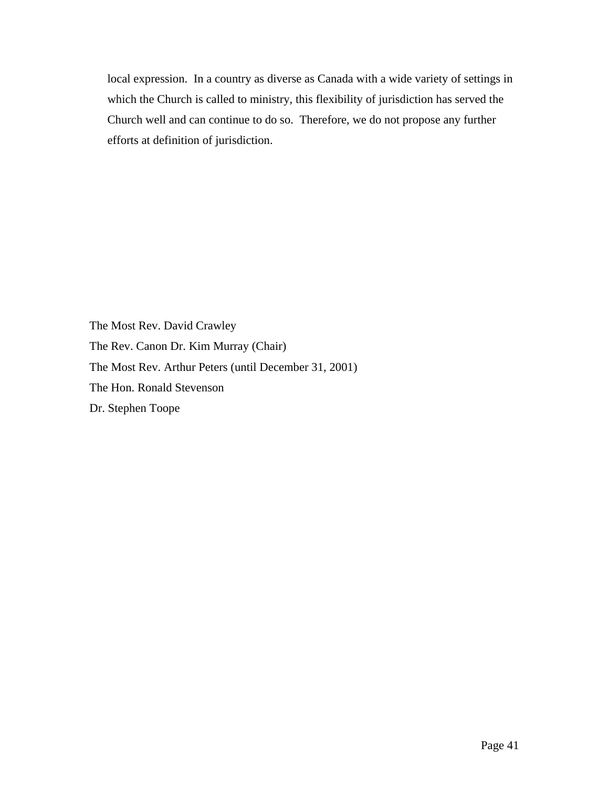local expression. In a country as diverse as Canada with a wide variety of settings in which the Church is called to ministry, this flexibility of jurisdiction has served the Church well and can continue to do so. Therefore, we do not propose any further efforts at definition of jurisdiction.

The Most Rev. David Crawley The Rev. Canon Dr. Kim Murray (Chair) The Most Rev. Arthur Peters (until December 31, 2001) The Hon. Ronald Stevenson Dr. Stephen Toope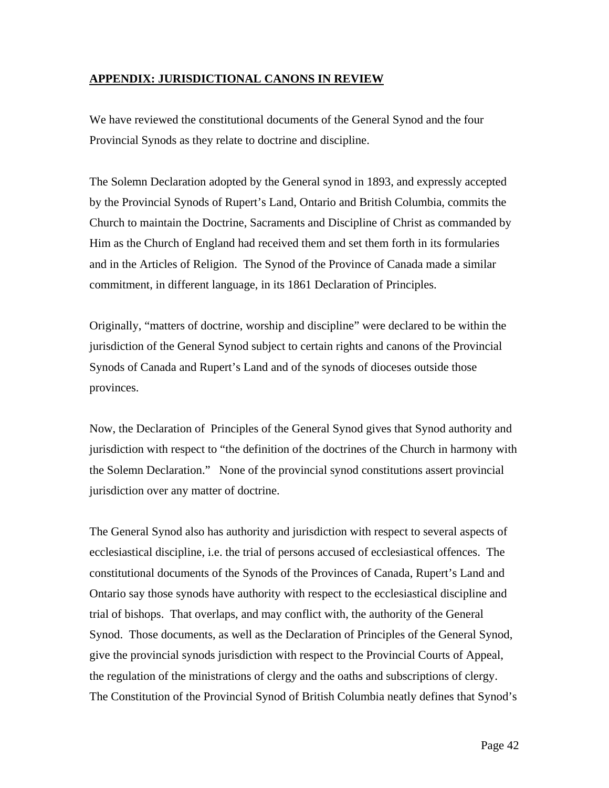# **APPENDIX: JURISDICTIONAL CANONS IN REVIEW**

We have reviewed the constitutional documents of the General Synod and the four Provincial Synods as they relate to doctrine and discipline.

The Solemn Declaration adopted by the General synod in 1893, and expressly accepted by the Provincial Synods of Rupert's Land, Ontario and British Columbia, commits the Church to maintain the Doctrine, Sacraments and Discipline of Christ as commanded by Him as the Church of England had received them and set them forth in its formularies and in the Articles of Religion. The Synod of the Province of Canada made a similar commitment, in different language, in its 1861 Declaration of Principles.

Originally, "matters of doctrine, worship and discipline" were declared to be within the jurisdiction of the General Synod subject to certain rights and canons of the Provincial Synods of Canada and Rupert's Land and of the synods of dioceses outside those provinces.

Now, the Declaration of Principles of the General Synod gives that Synod authority and jurisdiction with respect to "the definition of the doctrines of the Church in harmony with the Solemn Declaration." None of the provincial synod constitutions assert provincial jurisdiction over any matter of doctrine.

The General Synod also has authority and jurisdiction with respect to several aspects of ecclesiastical discipline, i.e. the trial of persons accused of ecclesiastical offences. The constitutional documents of the Synods of the Provinces of Canada, Rupert's Land and Ontario say those synods have authority with respect to the ecclesiastical discipline and trial of bishops. That overlaps, and may conflict with, the authority of the General Synod. Those documents, as well as the Declaration of Principles of the General Synod, give the provincial synods jurisdiction with respect to the Provincial Courts of Appeal, the regulation of the ministrations of clergy and the oaths and subscriptions of clergy. The Constitution of the Provincial Synod of British Columbia neatly defines that Synod's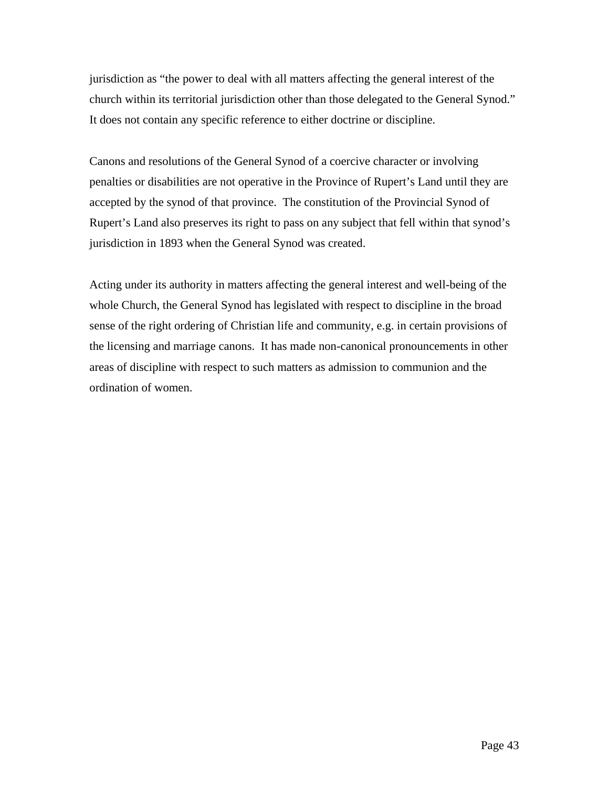jurisdiction as "the power to deal with all matters affecting the general interest of the church within its territorial jurisdiction other than those delegated to the General Synod." It does not contain any specific reference to either doctrine or discipline.

Canons and resolutions of the General Synod of a coercive character or involving penalties or disabilities are not operative in the Province of Rupert's Land until they are accepted by the synod of that province. The constitution of the Provincial Synod of Rupert's Land also preserves its right to pass on any subject that fell within that synod's jurisdiction in 1893 when the General Synod was created.

Acting under its authority in matters affecting the general interest and well-being of the whole Church, the General Synod has legislated with respect to discipline in the broad sense of the right ordering of Christian life and community, e.g. in certain provisions of the licensing and marriage canons. It has made non-canonical pronouncements in other areas of discipline with respect to such matters as admission to communion and the ordination of women.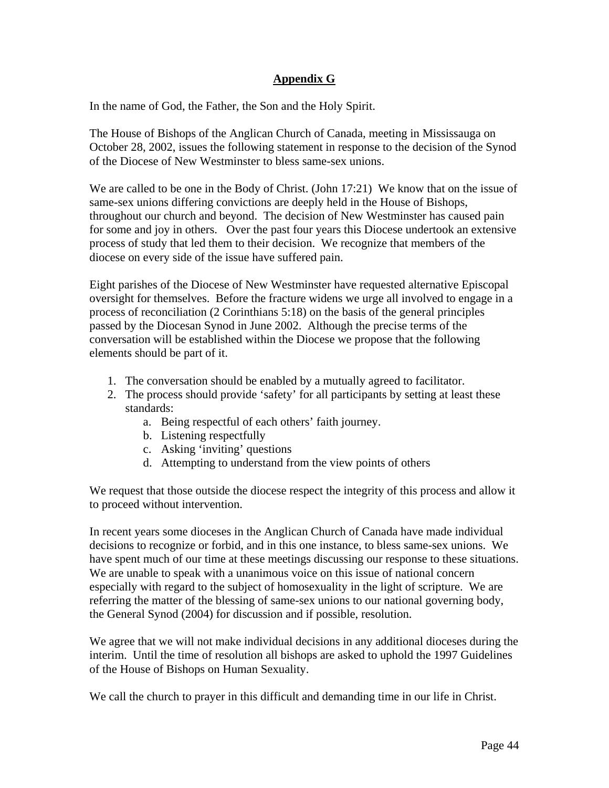# **Appendix G**

In the name of God, the Father, the Son and the Holy Spirit.

The House of Bishops of the Anglican Church of Canada, meeting in Mississauga on October 28, 2002, issues the following statement in response to the decision of the Synod of the Diocese of New Westminster to bless same-sex unions.

We are called to be one in the Body of Christ. (John 17:21) We know that on the issue of same-sex unions differing convictions are deeply held in the House of Bishops, throughout our church and beyond. The decision of New Westminster has caused pain for some and joy in others. Over the past four years this Diocese undertook an extensive process of study that led them to their decision. We recognize that members of the diocese on every side of the issue have suffered pain.

Eight parishes of the Diocese of New Westminster have requested alternative Episcopal oversight for themselves. Before the fracture widens we urge all involved to engage in a process of reconciliation (2 Corinthians 5:18) on the basis of the general principles passed by the Diocesan Synod in June 2002. Although the precise terms of the conversation will be established within the Diocese we propose that the following elements should be part of it.

- 1. The conversation should be enabled by a mutually agreed to facilitator.
- 2. The process should provide 'safety' for all participants by setting at least these standards:
	- a. Being respectful of each others' faith journey.
	- b. Listening respectfully
	- c. Asking 'inviting' questions
	- d. Attempting to understand from the view points of others

We request that those outside the diocese respect the integrity of this process and allow it to proceed without intervention.

In recent years some dioceses in the Anglican Church of Canada have made individual decisions to recognize or forbid, and in this one instance, to bless same-sex unions. We have spent much of our time at these meetings discussing our response to these situations. We are unable to speak with a unanimous voice on this issue of national concern especially with regard to the subject of homosexuality in the light of scripture. We are referring the matter of the blessing of same-sex unions to our national governing body, the General Synod (2004) for discussion and if possible, resolution.

We agree that we will not make individual decisions in any additional dioceses during the interim. Until the time of resolution all bishops are asked to uphold the 1997 Guidelines of the House of Bishops on Human Sexuality.

We call the church to prayer in this difficult and demanding time in our life in Christ.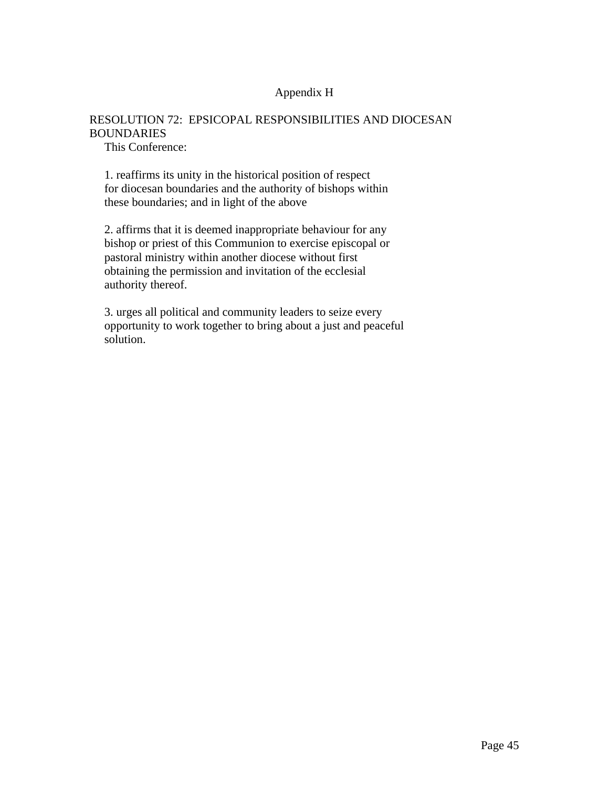# Appendix H

# RESOLUTION 72: EPSICOPAL RESPONSIBILITIES AND DIOCESAN **BOUNDARIES**

This Conference:

 1. reaffirms its unity in the historical position of respect for diocesan boundaries and the authority of bishops within these boundaries; and in light of the above

 2. affirms that it is deemed inappropriate behaviour for any bishop or priest of this Communion to exercise episcopal or pastoral ministry within another diocese without first obtaining the permission and invitation of the ecclesial authority thereof.

 3. urges all political and community leaders to seize every opportunity to work together to bring about a just and peaceful solution.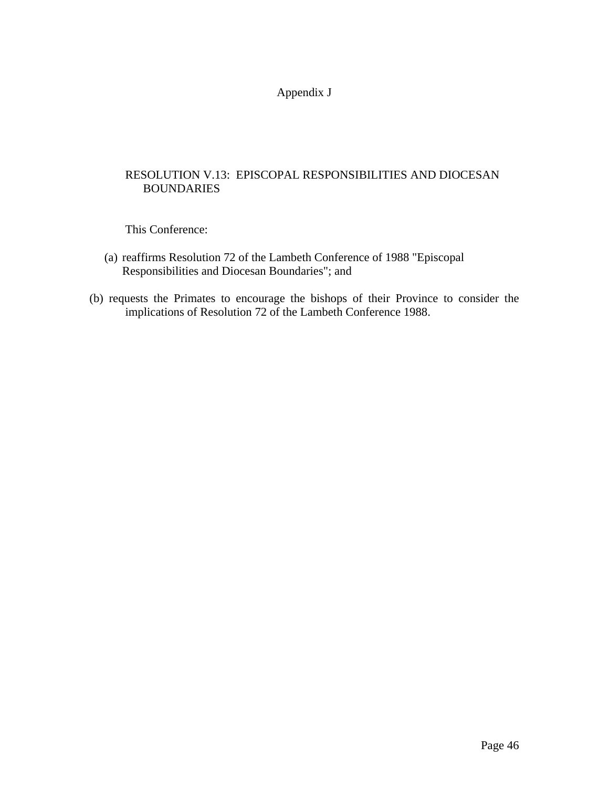# Appendix J

# RESOLUTION V.13: EPISCOPAL RESPONSIBILITIES AND DIOCESAN BOUNDARIES

This Conference:

- (a) reaffirms Resolution 72 of the Lambeth Conference of 1988 "Episcopal Responsibilities and Diocesan Boundaries"; and
- (b) requests the Primates to encourage the bishops of their Province to consider the implications of Resolution 72 of the Lambeth Conference 1988.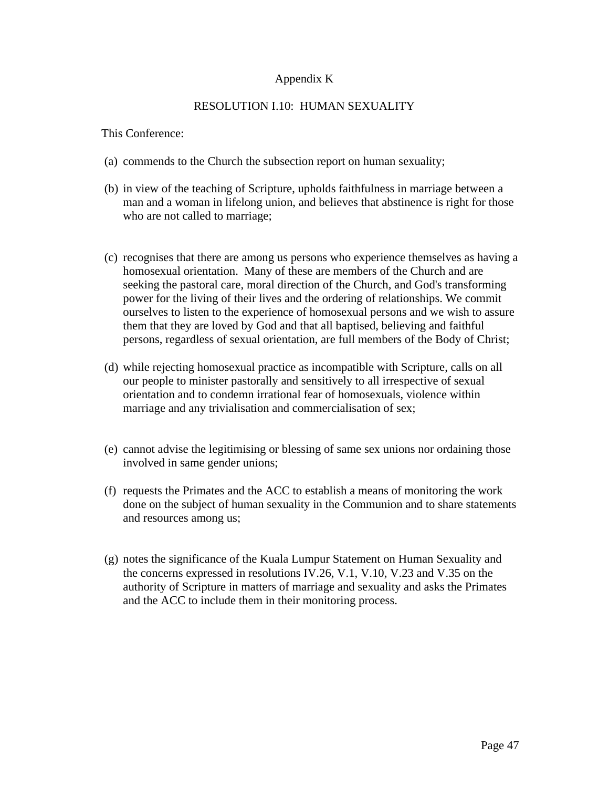# Appendix K

## RESOLUTION I.10: HUMAN SEXUALITY

#### This Conference:

- (a) commends to the Church the subsection report on human sexuality;
- (b) in view of the teaching of Scripture, upholds faithfulness in marriage between a man and a woman in lifelong union, and believes that abstinence is right for those who are not called to marriage;
- (c) recognises that there are among us persons who experience themselves as having a homosexual orientation. Many of these are members of the Church and are seeking the pastoral care, moral direction of the Church, and God's transforming power for the living of their lives and the ordering of relationships. We commit ourselves to listen to the experience of homosexual persons and we wish to assure them that they are loved by God and that all baptised, believing and faithful persons, regardless of sexual orientation, are full members of the Body of Christ;
- (d) while rejecting homosexual practice as incompatible with Scripture, calls on all our people to minister pastorally and sensitively to all irrespective of sexual orientation and to condemn irrational fear of homosexuals, violence within marriage and any trivialisation and commercialisation of sex;
- (e) cannot advise the legitimising or blessing of same sex unions nor ordaining those involved in same gender unions;
- (f) requests the Primates and the ACC to establish a means of monitoring the work done on the subject of human sexuality in the Communion and to share statements and resources among us;
- (g) notes the significance of the Kuala Lumpur Statement on Human Sexuality and the concerns expressed in resolutions IV.26, V.1, V.10, V.23 and V.35 on the authority of Scripture in matters of marriage and sexuality and asks the Primates and the ACC to include them in their monitoring process.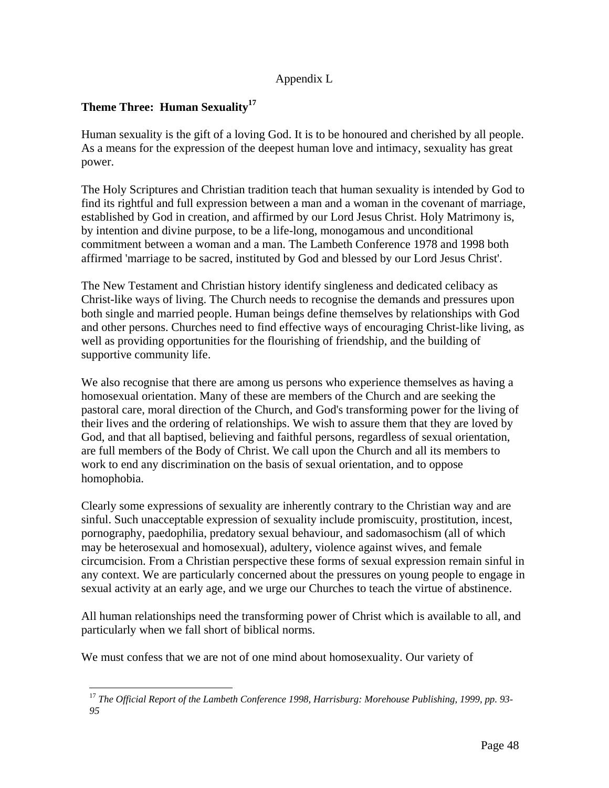# Appendix L

# **Theme Three: Human Sexuality[17](#page-47-0)**

Human sexuality is the gift of a loving God. It is to be honoured and cherished by all people. As a means for the expression of the deepest human love and intimacy, sexuality has great power.

The Holy Scriptures and Christian tradition teach that human sexuality is intended by God to find its rightful and full expression between a man and a woman in the covenant of marriage, established by God in creation, and affirmed by our Lord Jesus Christ. Holy Matrimony is, by intention and divine purpose, to be a life-long, monogamous and unconditional commitment between a woman and a man. The Lambeth Conference 1978 and 1998 both affirmed 'marriage to be sacred, instituted by God and blessed by our Lord Jesus Christ'.

The New Testament and Christian history identify singleness and dedicated celibacy as Christ-like ways of living. The Church needs to recognise the demands and pressures upon both single and married people. Human beings define themselves by relationships with God and other persons. Churches need to find effective ways of encouraging Christ-like living, as well as providing opportunities for the flourishing of friendship, and the building of supportive community life.

We also recognise that there are among us persons who experience themselves as having a homosexual orientation. Many of these are members of the Church and are seeking the pastoral care, moral direction of the Church, and God's transforming power for the living of their lives and the ordering of relationships. We wish to assure them that they are loved by God, and that all baptised, believing and faithful persons, regardless of sexual orientation, are full members of the Body of Christ. We call upon the Church and all its members to work to end any discrimination on the basis of sexual orientation, and to oppose homophobia.

Clearly some expressions of sexuality are inherently contrary to the Christian way and are sinful. Such unacceptable expression of sexuality include promiscuity, prostitution, incest, pornography, paedophilia, predatory sexual behaviour, and sadomasochism (all of which may be heterosexual and homosexual), adultery, violence against wives, and female circumcision. From a Christian perspective these forms of sexual expression remain sinful in any context. We are particularly concerned about the pressures on young people to engage in sexual activity at an early age, and we urge our Churches to teach the virtue of abstinence.

All human relationships need the transforming power of Christ which is available to all, and particularly when we fall short of biblical norms.

We must confess that we are not of one mind about homosexuality. Our variety of

1

<span id="page-47-0"></span><sup>17</sup> *The Official Report of the Lambeth Conference 1998, Harrisburg: Morehouse Publishing, 1999, pp. 93- 95*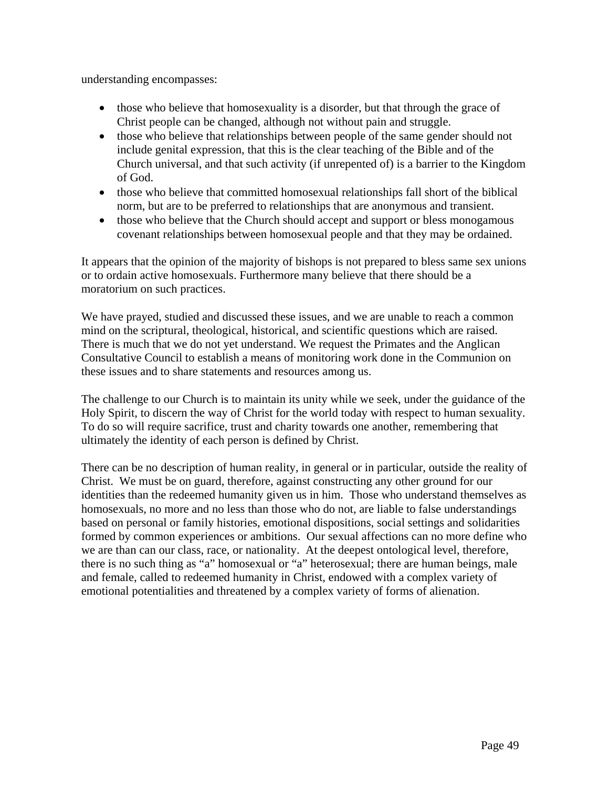understanding encompasses:

- those who believe that homosexuality is a disorder, but that through the grace of Christ people can be changed, although not without pain and struggle.
- those who believe that relationships between people of the same gender should not include genital expression, that this is the clear teaching of the Bible and of the Church universal, and that such activity (if unrepented of) is a barrier to the Kingdom of God.
- those who believe that committed homosexual relationships fall short of the biblical norm, but are to be preferred to relationships that are anonymous and transient.
- those who believe that the Church should accept and support or bless monogamous covenant relationships between homosexual people and that they may be ordained.

It appears that the opinion of the majority of bishops is not prepared to bless same sex unions or to ordain active homosexuals. Furthermore many believe that there should be a moratorium on such practices.

We have prayed, studied and discussed these issues, and we are unable to reach a common mind on the scriptural, theological, historical, and scientific questions which are raised. There is much that we do not yet understand. We request the Primates and the Anglican Consultative Council to establish a means of monitoring work done in the Communion on these issues and to share statements and resources among us.

The challenge to our Church is to maintain its unity while we seek, under the guidance of the Holy Spirit, to discern the way of Christ for the world today with respect to human sexuality. To do so will require sacrifice, trust and charity towards one another, remembering that ultimately the identity of each person is defined by Christ.

There can be no description of human reality, in general or in particular, outside the reality of Christ. We must be on guard, therefore, against constructing any other ground for our identities than the redeemed humanity given us in him. Those who understand themselves as homosexuals, no more and no less than those who do not, are liable to false understandings based on personal or family histories, emotional dispositions, social settings and solidarities formed by common experiences or ambitions. Our sexual affections can no more define who we are than can our class, race, or nationality. At the deepest ontological level, therefore, there is no such thing as "a" homosexual or "a" heterosexual; there are human beings, male and female, called to redeemed humanity in Christ, endowed with a complex variety of emotional potentialities and threatened by a complex variety of forms of alienation.